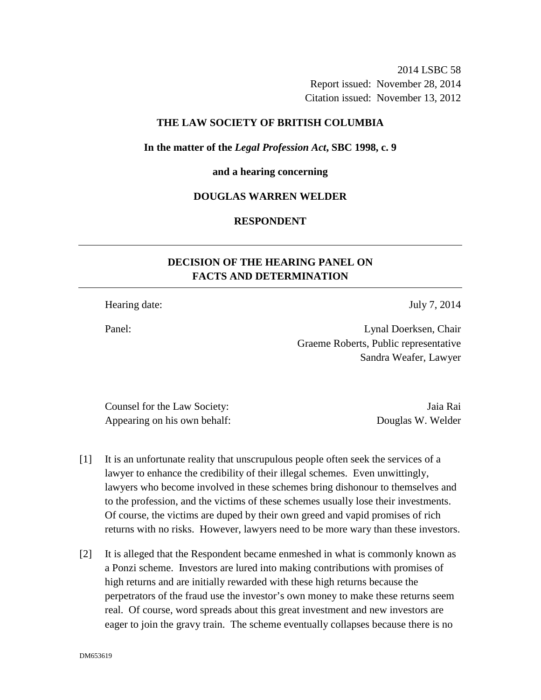2014 LSBC 58 Report issued: November 28, 2014 Citation issued: November 13, 2012

### **THE LAW SOCIETY OF BRITISH COLUMBIA**

**In the matter of the** *Legal Profession Act***, SBC 1998, c. 9** 

#### **and a hearing concerning**

### **DOUGLAS WARREN WELDER**

## **RESPONDENT**

# **DECISION OF THE HEARING PANEL ON FACTS AND DETERMINATION**

Hearing date: July 7, 2014

Panel: Lynal Doerksen, Chair Graeme Roberts, Public representative Sandra Weafer, Lawyer

Counsel for the Law Society: Jaia Rai Appearing on his own behalf: Douglas W. Welder

- [1] It is an unfortunate reality that unscrupulous people often seek the services of a lawyer to enhance the credibility of their illegal schemes. Even unwittingly, lawyers who become involved in these schemes bring dishonour to themselves and to the profession, and the victims of these schemes usually lose their investments. Of course, the victims are duped by their own greed and vapid promises of rich returns with no risks. However, lawyers need to be more wary than these investors.
- [2] It is alleged that the Respondent became enmeshed in what is commonly known as a Ponzi scheme. Investors are lured into making contributions with promises of high returns and are initially rewarded with these high returns because the perpetrators of the fraud use the investor's own money to make these returns seem real. Of course, word spreads about this great investment and new investors are eager to join the gravy train. The scheme eventually collapses because there is no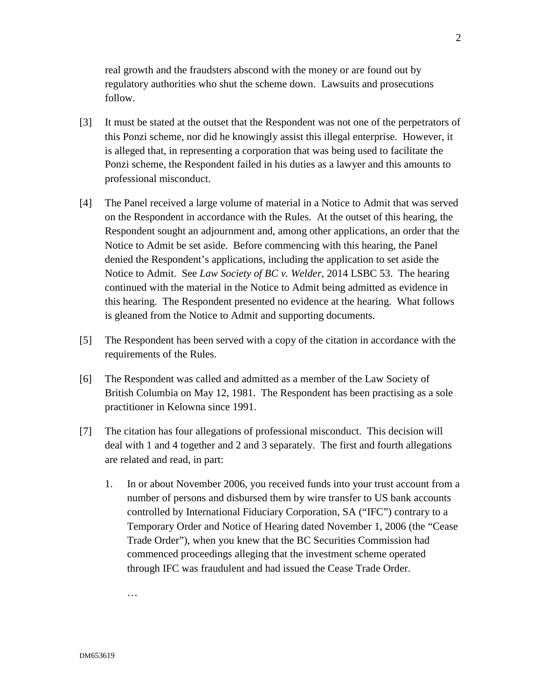real growth and the fraudsters abscond with the money or are found out by regulatory authorities who shut the scheme down. Lawsuits and prosecutions follow.

- [3] It must be stated at the outset that the Respondent was not one of the perpetrators of this Ponzi scheme, nor did he knowingly assist this illegal enterprise. However, it is alleged that, in representing a corporation that was being used to facilitate the Ponzi scheme, the Respondent failed in his duties as a lawyer and this amounts to professional misconduct.
- [4] The Panel received a large volume of material in a Notice to Admit that was served on the Respondent in accordance with the Rules. At the outset of this hearing, the Respondent sought an adjournment and, among other applications, an order that the Notice to Admit be set aside. Before commencing with this hearing, the Panel denied the Respondent's applications, including the application to set aside the Notice to Admit. See *Law Society of BC v. Welder*, 2014 LSBC 53. The hearing continued with the material in the Notice to Admit being admitted as evidence in this hearing. The Respondent presented no evidence at the hearing. What follows is gleaned from the Notice to Admit and supporting documents.
- [5] The Respondent has been served with a copy of the citation in accordance with the requirements of the Rules.
- [6] The Respondent was called and admitted as a member of the Law Society of British Columbia on May 12, 1981. The Respondent has been practising as a sole practitioner in Kelowna since 1991.
- [7] The citation has four allegations of professional misconduct. This decision will deal with 1 and 4 together and 2 and 3 separately. The first and fourth allegations are related and read, in part:
	- 1. In or about November 2006, you received funds into your trust account from a number of persons and disbursed them by wire transfer to US bank accounts controlled by International Fiduciary Corporation, SA ("IFC") contrary to a Temporary Order and Notice of Hearing dated November 1, 2006 (the "Cease Trade Order"), when you knew that the BC Securities Commission had commenced proceedings alleging that the investment scheme operated through IFC was fraudulent and had issued the Cease Trade Order.

…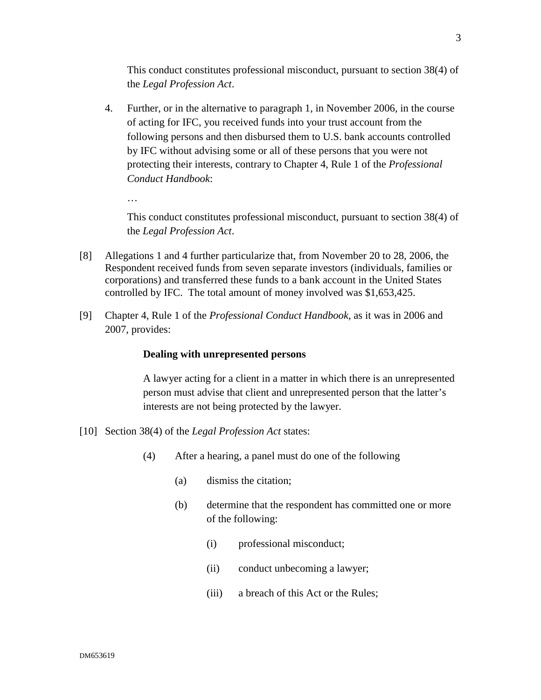This conduct constitutes professional misconduct, pursuant to section 38(4) of the *Legal Profession Act*.

4. Further, or in the alternative to paragraph 1, in November 2006, in the course of acting for IFC, you received funds into your trust account from the following persons and then disbursed them to U.S. bank accounts controlled by IFC without advising some or all of these persons that you were not protecting their interests, contrary to Chapter 4, Rule 1 of the *Professional Conduct Handbook*:

This conduct constitutes professional misconduct, pursuant to section 38(4) of the *Legal Profession Act*.

- [8] Allegations 1 and 4 further particularize that, from November 20 to 28, 2006, the Respondent received funds from seven separate investors (individuals, families or corporations) and transferred these funds to a bank account in the United States controlled by IFC. The total amount of money involved was \$1,653,425.
- [9] Chapter 4, Rule 1 of the *Professional Conduct Handbook*, as it was in 2006 and 2007, provides:

## **Dealing with unrepresented persons**

A lawyer acting for a client in a matter in which there is an unrepresented person must advise that client and unrepresented person that the latter's interests are not being protected by the lawyer.

- [10] Section 38(4) of the *Legal Profession Act* states:
	- (4) After a hearing, a panel must do one of the following
		- (a) dismiss the citation;
		- (b) determine that the respondent has committed one or more of the following:
			- (i) professional misconduct;
			- (ii) conduct unbecoming a lawyer;
			- (iii) a breach of this Act or the Rules;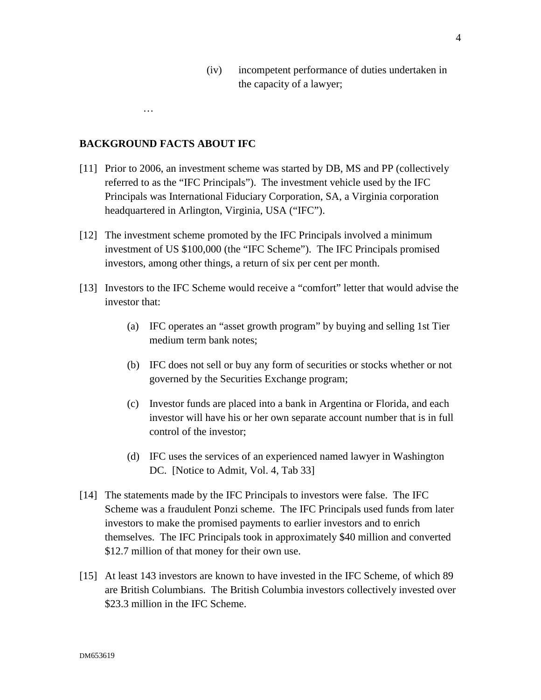(iv) incompetent performance of duties undertaken in the capacity of a lawyer;

**BACKGROUND FACTS ABOUT IFC** 

…

- [11] Prior to 2006, an investment scheme was started by DB, MS and PP (collectively referred to as the "IFC Principals"). The investment vehicle used by the IFC Principals was International Fiduciary Corporation, SA, a Virginia corporation headquartered in Arlington, Virginia, USA ("IFC").
- [12] The investment scheme promoted by the IFC Principals involved a minimum investment of US \$100,000 (the "IFC Scheme"). The IFC Principals promised investors, among other things, a return of six per cent per month.
- [13] Investors to the IFC Scheme would receive a "comfort" letter that would advise the investor that:
	- (a) IFC operates an "asset growth program" by buying and selling 1st Tier medium term bank notes;
	- (b) IFC does not sell or buy any form of securities or stocks whether or not governed by the Securities Exchange program;
	- (c) Investor funds are placed into a bank in Argentina or Florida, and each investor will have his or her own separate account number that is in full control of the investor;
	- (d) IFC uses the services of an experienced named lawyer in Washington DC. [Notice to Admit, Vol. 4, Tab 33]
- [14] The statements made by the IFC Principals to investors were false. The IFC Scheme was a fraudulent Ponzi scheme. The IFC Principals used funds from later investors to make the promised payments to earlier investors and to enrich themselves. The IFC Principals took in approximately \$40 million and converted \$12.7 million of that money for their own use.
- [15] At least 143 investors are known to have invested in the IFC Scheme, of which 89 are British Columbians. The British Columbia investors collectively invested over \$23.3 million in the IFC Scheme.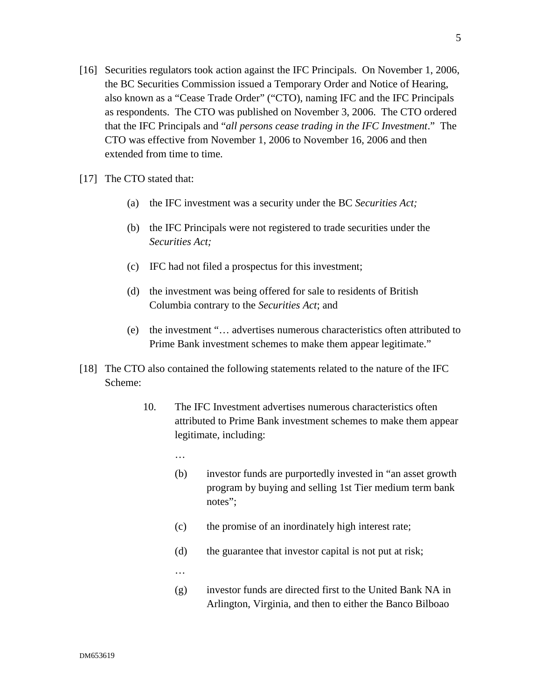- [16] Securities regulators took action against the IFC Principals. On November 1, 2006, the BC Securities Commission issued a Temporary Order and Notice of Hearing, also known as a "Cease Trade Order" ("CTO), naming IFC and the IFC Principals as respondents. The CTO was published on November 3, 2006. The CTO ordered that the IFC Principals and "*all persons cease trading in the IFC Investment*." The CTO was effective from November 1, 2006 to November 16, 2006 and then extended from time to time.
- [17] The CTO stated that:
	- (a) the IFC investment was a security under the BC *Securities Act;*
	- (b) the IFC Principals were not registered to trade securities under the *Securities Act;*
	- (c) IFC had not filed a prospectus for this investment;
	- (d) the investment was being offered for sale to residents of British Columbia contrary to the *Securities Act*; and
	- (e) the investment "… advertises numerous characteristics often attributed to Prime Bank investment schemes to make them appear legitimate."
- [18] The CTO also contained the following statements related to the nature of the IFC Scheme:
	- 10. The IFC Investment advertises numerous characteristics often attributed to Prime Bank investment schemes to make them appear legitimate, including:
		- …
		- (b) investor funds are purportedly invested in "an asset growth program by buying and selling 1st Tier medium term bank notes":
		- (c) the promise of an inordinately high interest rate;
		- (d) the guarantee that investor capital is not put at risk;
		- …
		- (g) investor funds are directed first to the United Bank NA in Arlington, Virginia, and then to either the Banco Bilboao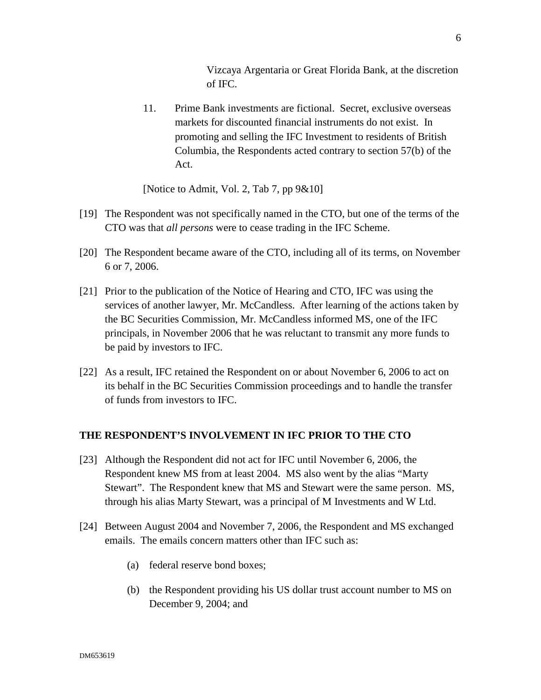Vizcaya Argentaria or Great Florida Bank, at the discretion of IFC.

11. Prime Bank investments are fictional. Secret, exclusive overseas markets for discounted financial instruments do not exist. In promoting and selling the IFC Investment to residents of British Columbia, the Respondents acted contrary to section 57(b) of the Act.

[Notice to Admit, Vol. 2, Tab 7, pp 9&10]

- [19] The Respondent was not specifically named in the CTO, but one of the terms of the CTO was that *all persons* were to cease trading in the IFC Scheme.
- [20] The Respondent became aware of the CTO, including all of its terms, on November 6 or 7, 2006.
- [21] Prior to the publication of the Notice of Hearing and CTO, IFC was using the services of another lawyer, Mr. McCandless. After learning of the actions taken by the BC Securities Commission, Mr. McCandless informed MS, one of the IFC principals, in November 2006 that he was reluctant to transmit any more funds to be paid by investors to IFC.
- [22] As a result, IFC retained the Respondent on or about November 6, 2006 to act on its behalf in the BC Securities Commission proceedings and to handle the transfer of funds from investors to IFC.

## **THE RESPONDENT'S INVOLVEMENT IN IFC PRIOR TO THE CTO**

- [23] Although the Respondent did not act for IFC until November 6, 2006, the Respondent knew MS from at least 2004. MS also went by the alias "Marty Stewart". The Respondent knew that MS and Stewart were the same person. MS, through his alias Marty Stewart, was a principal of M Investments and W Ltd.
- [24] Between August 2004 and November 7, 2006, the Respondent and MS exchanged emails. The emails concern matters other than IFC such as:
	- (a) federal reserve bond boxes;
	- (b) the Respondent providing his US dollar trust account number to MS on December 9, 2004; and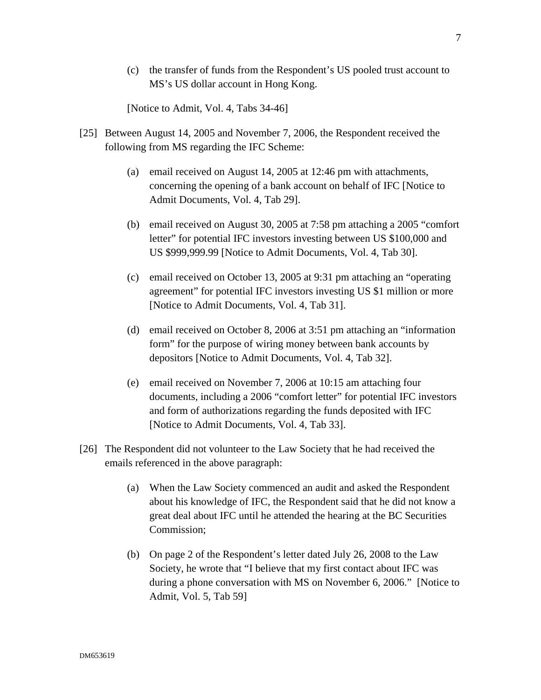(c) the transfer of funds from the Respondent's US pooled trust account to MS's US dollar account in Hong Kong.

[Notice to Admit, Vol. 4, Tabs 34-46]

- [25] Between August 14, 2005 and November 7, 2006, the Respondent received the following from MS regarding the IFC Scheme:
	- (a) email received on August 14, 2005 at 12:46 pm with attachments, concerning the opening of a bank account on behalf of IFC [Notice to Admit Documents, Vol. 4, Tab 29].
	- (b) email received on August 30, 2005 at 7:58 pm attaching a 2005 "comfort letter" for potential IFC investors investing between US \$100,000 and US \$999,999.99 [Notice to Admit Documents, Vol. 4, Tab 30].
	- (c) email received on October 13, 2005 at 9:31 pm attaching an "operating agreement" for potential IFC investors investing US \$1 million or more [Notice to Admit Documents, Vol. 4, Tab 31].
	- (d) email received on October 8, 2006 at 3:51 pm attaching an "information form" for the purpose of wiring money between bank accounts by depositors [Notice to Admit Documents, Vol. 4, Tab 32].
	- (e) email received on November 7, 2006 at 10:15 am attaching four documents, including a 2006 "comfort letter" for potential IFC investors and form of authorizations regarding the funds deposited with IFC [Notice to Admit Documents, Vol. 4, Tab 33].
- [26] The Respondent did not volunteer to the Law Society that he had received the emails referenced in the above paragraph:
	- (a) When the Law Society commenced an audit and asked the Respondent about his knowledge of IFC, the Respondent said that he did not know a great deal about IFC until he attended the hearing at the BC Securities Commission;
	- (b) On page 2 of the Respondent's letter dated July 26, 2008 to the Law Society, he wrote that "I believe that my first contact about IFC was during a phone conversation with MS on November 6, 2006." [Notice to Admit, Vol. 5, Tab 59]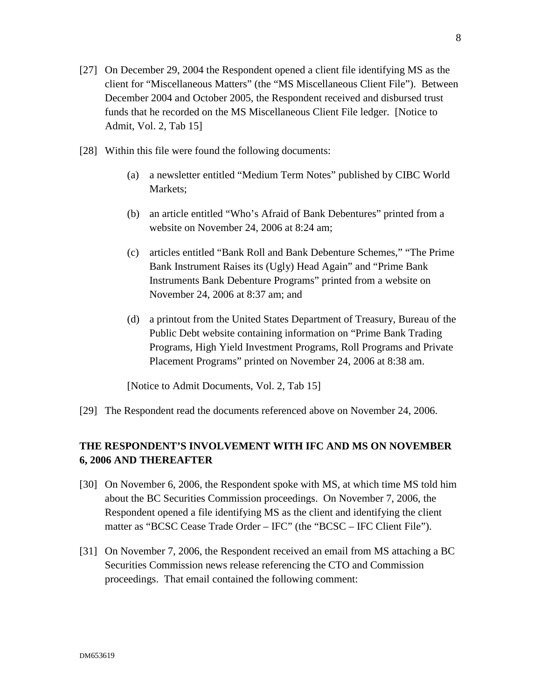- [27] On December 29, 2004 the Respondent opened a client file identifying MS as the client for "Miscellaneous Matters" (the "MS Miscellaneous Client File"). Between December 2004 and October 2005, the Respondent received and disbursed trust funds that he recorded on the MS Miscellaneous Client File ledger. [Notice to Admit, Vol. 2, Tab 15]
- [28] Within this file were found the following documents:
	- (a) a newsletter entitled "Medium Term Notes" published by CIBC World Markets;
	- (b) an article entitled "Who's Afraid of Bank Debentures" printed from a website on November 24, 2006 at 8:24 am;
	- (c) articles entitled "Bank Roll and Bank Debenture Schemes," "The Prime Bank Instrument Raises its (Ugly) Head Again" and "Prime Bank Instruments Bank Debenture Programs" printed from a website on November 24, 2006 at 8:37 am; and
	- (d) a printout from the United States Department of Treasury, Bureau of the Public Debt website containing information on "Prime Bank Trading Programs, High Yield Investment Programs, Roll Programs and Private Placement Programs" printed on November 24, 2006 at 8:38 am.

[Notice to Admit Documents, Vol. 2, Tab 15]

[29] The Respondent read the documents referenced above on November 24, 2006.

# **THE RESPONDENT'S INVOLVEMENT WITH IFC AND MS ON NOVEMBER 6, 2006 AND THEREAFTER**

- [30] On November 6, 2006, the Respondent spoke with MS, at which time MS told him about the BC Securities Commission proceedings. On November 7, 2006, the Respondent opened a file identifying MS as the client and identifying the client matter as "BCSC Cease Trade Order – IFC" (the "BCSC – IFC Client File").
- [31] On November 7, 2006, the Respondent received an email from MS attaching a BC Securities Commission news release referencing the CTO and Commission proceedings. That email contained the following comment: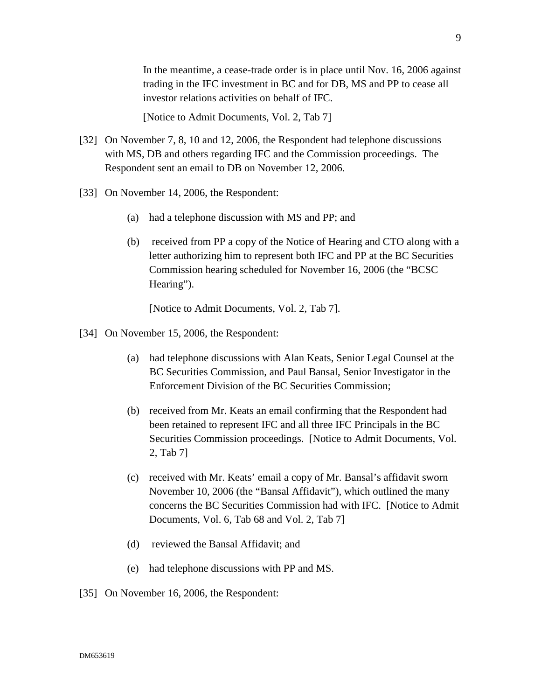In the meantime, a cease-trade order is in place until Nov. 16, 2006 against trading in the IFC investment in BC and for DB, MS and PP to cease all investor relations activities on behalf of IFC.

[Notice to Admit Documents, Vol. 2, Tab 7]

- [32] On November 7, 8, 10 and 12, 2006, the Respondent had telephone discussions with MS, DB and others regarding IFC and the Commission proceedings. The Respondent sent an email to DB on November 12, 2006.
- [33] On November 14, 2006, the Respondent:
	- (a) had a telephone discussion with MS and PP; and
	- (b) received from PP a copy of the Notice of Hearing and CTO along with a letter authorizing him to represent both IFC and PP at the BC Securities Commission hearing scheduled for November 16, 2006 (the "BCSC Hearing").

[Notice to Admit Documents, Vol. 2, Tab 7].

- [34] On November 15, 2006, the Respondent:
	- (a) had telephone discussions with Alan Keats, Senior Legal Counsel at the BC Securities Commission, and Paul Bansal, Senior Investigator in the Enforcement Division of the BC Securities Commission;
	- (b) received from Mr. Keats an email confirming that the Respondent had been retained to represent IFC and all three IFC Principals in the BC Securities Commission proceedings. [Notice to Admit Documents, Vol. 2, Tab 7]
	- (c) received with Mr. Keats' email a copy of Mr. Bansal's affidavit sworn November 10, 2006 (the "Bansal Affidavit"), which outlined the many concerns the BC Securities Commission had with IFC. [Notice to Admit Documents, Vol. 6, Tab 68 and Vol. 2, Tab 7]
	- (d) reviewed the Bansal Affidavit; and
	- (e) had telephone discussions with PP and MS.
- [35] On November 16, 2006, the Respondent: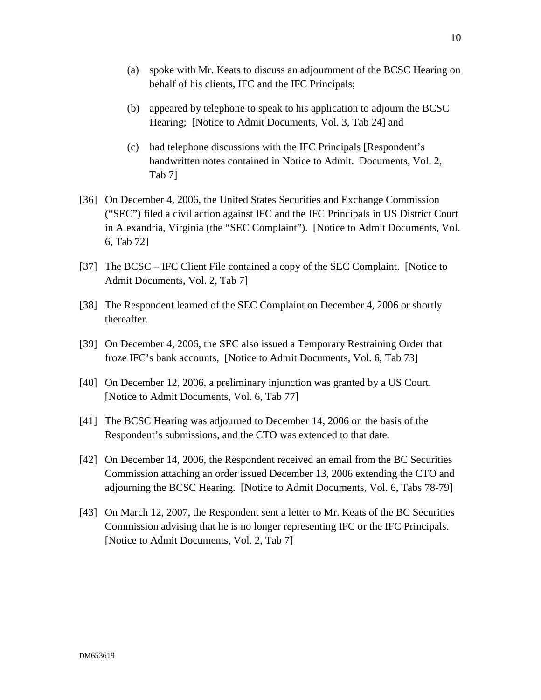- (b) appeared by telephone to speak to his application to adjourn the BCSC Hearing; [Notice to Admit Documents, Vol. 3, Tab 24] and
- (c) had telephone discussions with the IFC Principals [Respondent's handwritten notes contained in Notice to Admit. Documents, Vol. 2, Tab 7]
- [36] On December 4, 2006, the United States Securities and Exchange Commission ("SEC") filed a civil action against IFC and the IFC Principals in US District Court in Alexandria, Virginia (the "SEC Complaint"). [Notice to Admit Documents, Vol. 6, Tab 72]
- [37] The BCSC IFC Client File contained a copy of the SEC Complaint. [Notice to Admit Documents, Vol. 2, Tab 7]
- [38] The Respondent learned of the SEC Complaint on December 4, 2006 or shortly thereafter.
- [39] On December 4, 2006, the SEC also issued a Temporary Restraining Order that froze IFC's bank accounts, [Notice to Admit Documents, Vol. 6, Tab 73]
- [40] On December 12, 2006, a preliminary injunction was granted by a US Court. [Notice to Admit Documents, Vol. 6, Tab 77]
- [41] The BCSC Hearing was adjourned to December 14, 2006 on the basis of the Respondent's submissions, and the CTO was extended to that date.
- [42] On December 14, 2006, the Respondent received an email from the BC Securities Commission attaching an order issued December 13, 2006 extending the CTO and adjourning the BCSC Hearing. [Notice to Admit Documents, Vol. 6, Tabs 78-79]
- [43] On March 12, 2007, the Respondent sent a letter to Mr. Keats of the BC Securities Commission advising that he is no longer representing IFC or the IFC Principals. [Notice to Admit Documents, Vol. 2, Tab 7]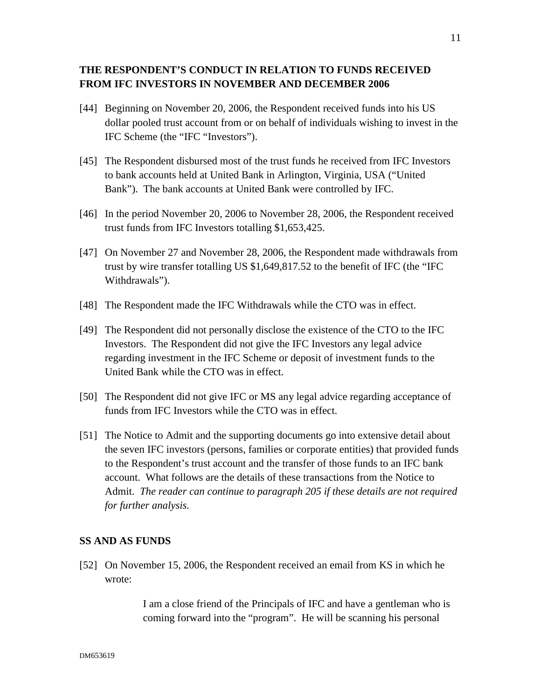# **THE RESPONDENT'S CONDUCT IN RELATION TO FUNDS RECEIVED FROM IFC INVESTORS IN NOVEMBER AND DECEMBER 2006**

- [44] Beginning on November 20, 2006, the Respondent received funds into his US dollar pooled trust account from or on behalf of individuals wishing to invest in the IFC Scheme (the "IFC "Investors").
- [45] The Respondent disbursed most of the trust funds he received from IFC Investors to bank accounts held at United Bank in Arlington, Virginia, USA ("United Bank"). The bank accounts at United Bank were controlled by IFC.
- [46] In the period November 20, 2006 to November 28, 2006, the Respondent received trust funds from IFC Investors totalling \$1,653,425.
- [47] On November 27 and November 28, 2006, the Respondent made withdrawals from trust by wire transfer totalling US \$1,649,817.52 to the benefit of IFC (the "IFC Withdrawals").
- [48] The Respondent made the IFC Withdrawals while the CTO was in effect.
- [49] The Respondent did not personally disclose the existence of the CTO to the IFC Investors. The Respondent did not give the IFC Investors any legal advice regarding investment in the IFC Scheme or deposit of investment funds to the United Bank while the CTO was in effect.
- [50] The Respondent did not give IFC or MS any legal advice regarding acceptance of funds from IFC Investors while the CTO was in effect.
- [51] The Notice to Admit and the supporting documents go into extensive detail about the seven IFC investors (persons, families or corporate entities) that provided funds to the Respondent's trust account and the transfer of those funds to an IFC bank account. What follows are the details of these transactions from the Notice to Admit. *The reader can continue to paragraph 205 if these details are not required for further analysis.*

## **SS AND AS FUNDS**

[52] On November 15, 2006, the Respondent received an email from KS in which he wrote:

> I am a close friend of the Principals of IFC and have a gentleman who is coming forward into the "program". He will be scanning his personal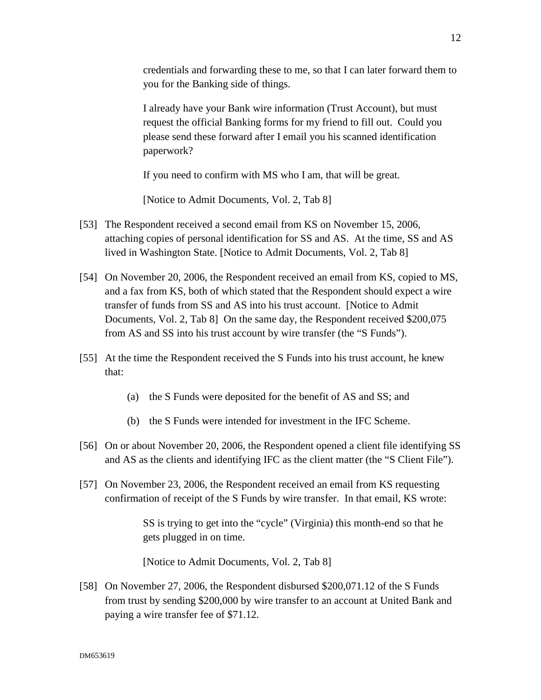credentials and forwarding these to me, so that I can later forward them to you for the Banking side of things.

I already have your Bank wire information (Trust Account), but must request the official Banking forms for my friend to fill out. Could you please send these forward after I email you his scanned identification paperwork?

If you need to confirm with MS who I am, that will be great.

[Notice to Admit Documents, Vol. 2, Tab 8]

- [53] The Respondent received a second email from KS on November 15, 2006, attaching copies of personal identification for SS and AS. At the time, SS and AS lived in Washington State. [Notice to Admit Documents, Vol. 2, Tab 8]
- [54] On November 20, 2006, the Respondent received an email from KS, copied to MS, and a fax from KS, both of which stated that the Respondent should expect a wire transfer of funds from SS and AS into his trust account. [Notice to Admit Documents, Vol. 2, Tab 8] On the same day, the Respondent received \$200,075 from AS and SS into his trust account by wire transfer (the "S Funds").
- [55] At the time the Respondent received the S Funds into his trust account, he knew that:
	- (a) the S Funds were deposited for the benefit of AS and SS; and
	- (b) the S Funds were intended for investment in the IFC Scheme.
- [56] On or about November 20, 2006, the Respondent opened a client file identifying SS and AS as the clients and identifying IFC as the client matter (the "S Client File").
- [57] On November 23, 2006, the Respondent received an email from KS requesting confirmation of receipt of the S Funds by wire transfer. In that email, KS wrote:

SS is trying to get into the "cycle" (Virginia) this month-end so that he gets plugged in on time.

[Notice to Admit Documents, Vol. 2, Tab 8]

[58] On November 27, 2006, the Respondent disbursed \$200,071.12 of the S Funds from trust by sending \$200,000 by wire transfer to an account at United Bank and paying a wire transfer fee of \$71.12.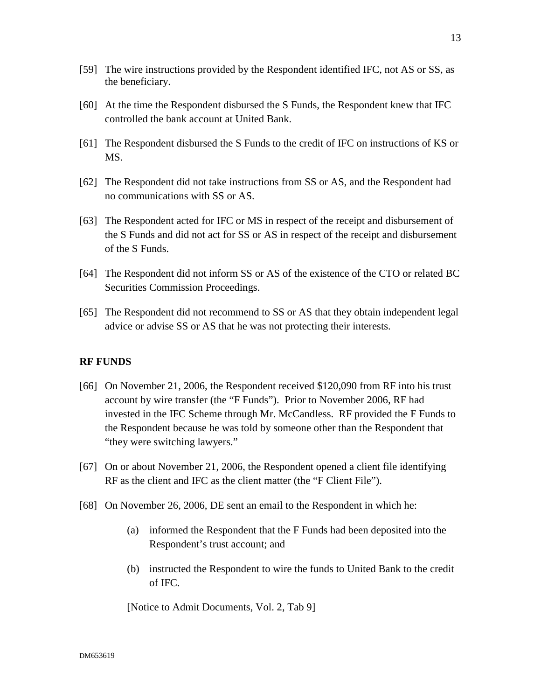- [59] The wire instructions provided by the Respondent identified IFC, not AS or SS, as the beneficiary.
- [60] At the time the Respondent disbursed the S Funds, the Respondent knew that IFC controlled the bank account at United Bank.
- [61] The Respondent disbursed the S Funds to the credit of IFC on instructions of KS or MS.
- [62] The Respondent did not take instructions from SS or AS, and the Respondent had no communications with SS or AS.
- [63] The Respondent acted for IFC or MS in respect of the receipt and disbursement of the S Funds and did not act for SS or AS in respect of the receipt and disbursement of the S Funds.
- [64] The Respondent did not inform SS or AS of the existence of the CTO or related BC Securities Commission Proceedings.
- [65] The Respondent did not recommend to SS or AS that they obtain independent legal advice or advise SS or AS that he was not protecting their interests.

### **RF FUNDS**

- [66] On November 21, 2006, the Respondent received \$120,090 from RF into his trust account by wire transfer (the "F Funds"). Prior to November 2006, RF had invested in the IFC Scheme through Mr. McCandless. RF provided the F Funds to the Respondent because he was told by someone other than the Respondent that "they were switching lawyers."
- [67] On or about November 21, 2006, the Respondent opened a client file identifying RF as the client and IFC as the client matter (the "F Client File").
- [68] On November 26, 2006, DE sent an email to the Respondent in which he:
	- (a) informed the Respondent that the F Funds had been deposited into the Respondent's trust account; and
	- (b) instructed the Respondent to wire the funds to United Bank to the credit of IFC.

[Notice to Admit Documents, Vol. 2, Tab 9]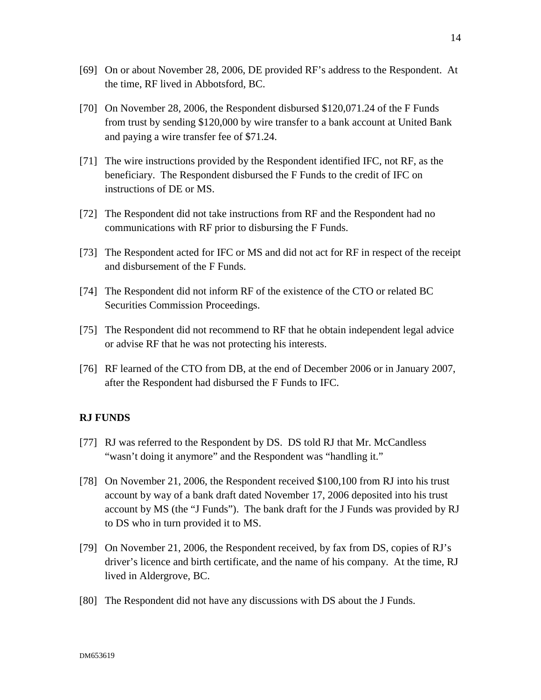- [69] On or about November 28, 2006, DE provided RF's address to the Respondent. At the time, RF lived in Abbotsford, BC.
- [70] On November 28, 2006, the Respondent disbursed \$120,071.24 of the F Funds from trust by sending \$120,000 by wire transfer to a bank account at United Bank and paying a wire transfer fee of \$71.24.
- [71] The wire instructions provided by the Respondent identified IFC, not RF, as the beneficiary. The Respondent disbursed the F Funds to the credit of IFC on instructions of DE or MS.
- [72] The Respondent did not take instructions from RF and the Respondent had no communications with RF prior to disbursing the F Funds.
- [73] The Respondent acted for IFC or MS and did not act for RF in respect of the receipt and disbursement of the F Funds.
- [74] The Respondent did not inform RF of the existence of the CTO or related BC Securities Commission Proceedings.
- [75] The Respondent did not recommend to RF that he obtain independent legal advice or advise RF that he was not protecting his interests.
- [76] RF learned of the CTO from DB, at the end of December 2006 or in January 2007, after the Respondent had disbursed the F Funds to IFC.

#### **RJ FUNDS**

- [77] RJ was referred to the Respondent by DS. DS told RJ that Mr. McCandless "wasn't doing it anymore" and the Respondent was "handling it."
- [78] On November 21, 2006, the Respondent received \$100,100 from RJ into his trust account by way of a bank draft dated November 17, 2006 deposited into his trust account by MS (the "J Funds"). The bank draft for the J Funds was provided by RJ to DS who in turn provided it to MS.
- [79] On November 21, 2006, the Respondent received, by fax from DS, copies of RJ's driver's licence and birth certificate, and the name of his company. At the time, RJ lived in Aldergrove, BC.
- [80] The Respondent did not have any discussions with DS about the J Funds.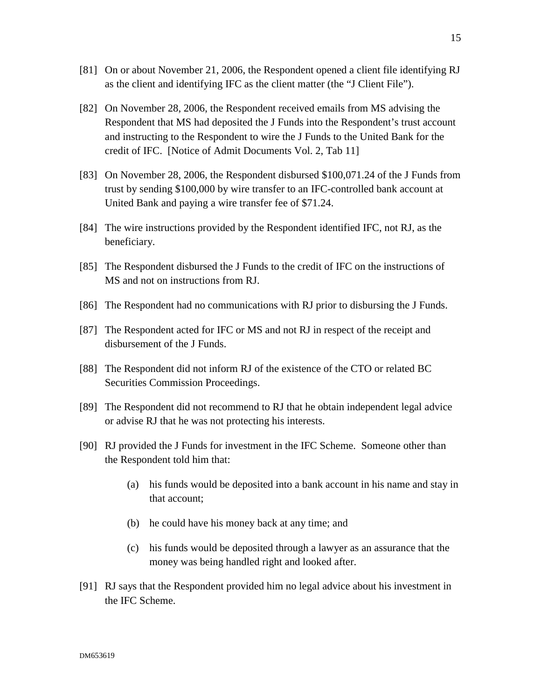- [81] On or about November 21, 2006, the Respondent opened a client file identifying RJ as the client and identifying IFC as the client matter (the "J Client File").
- [82] On November 28, 2006, the Respondent received emails from MS advising the Respondent that MS had deposited the J Funds into the Respondent's trust account and instructing to the Respondent to wire the J Funds to the United Bank for the credit of IFC. [Notice of Admit Documents Vol. 2, Tab 11]
- [83] On November 28, 2006, the Respondent disbursed \$100,071.24 of the J Funds from trust by sending \$100,000 by wire transfer to an IFC-controlled bank account at United Bank and paying a wire transfer fee of \$71.24.
- [84] The wire instructions provided by the Respondent identified IFC, not RJ, as the beneficiary.
- [85] The Respondent disbursed the J Funds to the credit of IFC on the instructions of MS and not on instructions from RJ.
- [86] The Respondent had no communications with RJ prior to disbursing the J Funds.
- [87] The Respondent acted for IFC or MS and not RJ in respect of the receipt and disbursement of the J Funds.
- [88] The Respondent did not inform RJ of the existence of the CTO or related BC Securities Commission Proceedings.
- [89] The Respondent did not recommend to RJ that he obtain independent legal advice or advise RJ that he was not protecting his interests.
- [90] RJ provided the J Funds for investment in the IFC Scheme. Someone other than the Respondent told him that:
	- (a) his funds would be deposited into a bank account in his name and stay in that account;
	- (b) he could have his money back at any time; and
	- (c) his funds would be deposited through a lawyer as an assurance that the money was being handled right and looked after.
- [91] RJ says that the Respondent provided him no legal advice about his investment in the IFC Scheme.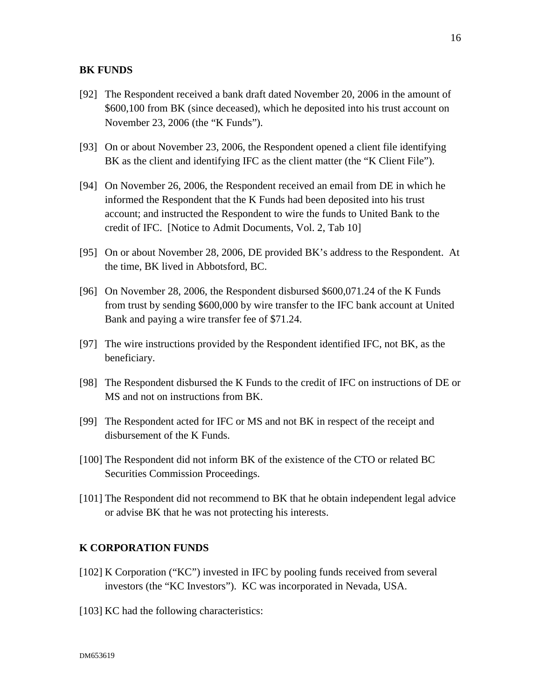#### **BK FUNDS**

- [92] The Respondent received a bank draft dated November 20, 2006 in the amount of \$600,100 from BK (since deceased), which he deposited into his trust account on November 23, 2006 (the "K Funds").
- [93] On or about November 23, 2006, the Respondent opened a client file identifying BK as the client and identifying IFC as the client matter (the "K Client File").
- [94] On November 26, 2006, the Respondent received an email from DE in which he informed the Respondent that the K Funds had been deposited into his trust account; and instructed the Respondent to wire the funds to United Bank to the credit of IFC. [Notice to Admit Documents, Vol. 2, Tab 10]
- [95] On or about November 28, 2006, DE provided BK's address to the Respondent. At the time, BK lived in Abbotsford, BC.
- [96] On November 28, 2006, the Respondent disbursed \$600,071.24 of the K Funds from trust by sending \$600,000 by wire transfer to the IFC bank account at United Bank and paying a wire transfer fee of \$71.24.
- [97] The wire instructions provided by the Respondent identified IFC, not BK, as the beneficiary.
- [98] The Respondent disbursed the K Funds to the credit of IFC on instructions of DE or MS and not on instructions from BK.
- [99] The Respondent acted for IFC or MS and not BK in respect of the receipt and disbursement of the K Funds.
- [100] The Respondent did not inform BK of the existence of the CTO or related BC Securities Commission Proceedings.
- [101] The Respondent did not recommend to BK that he obtain independent legal advice or advise BK that he was not protecting his interests.

#### **K CORPORATION FUNDS**

- [102] K Corporation ("KC") invested in IFC by pooling funds received from several investors (the "KC Investors"). KC was incorporated in Nevada, USA.
- [103] KC had the following characteristics: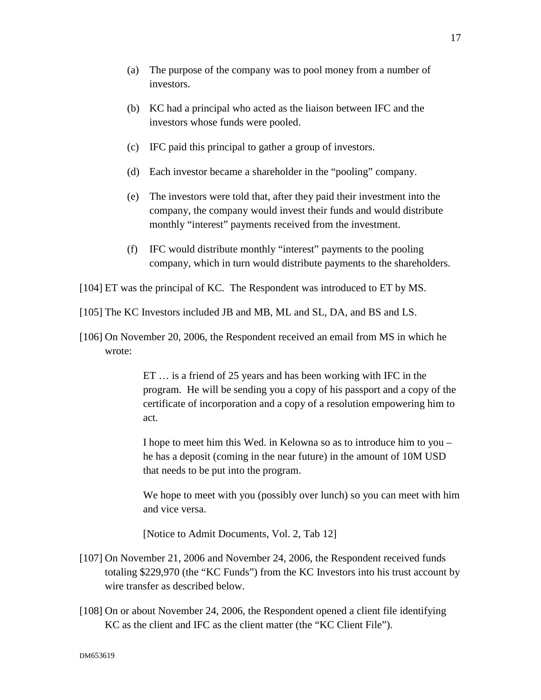- (a) The purpose of the company was to pool money from a number of investors.
- (b) KC had a principal who acted as the liaison between IFC and the investors whose funds were pooled.
- (c) IFC paid this principal to gather a group of investors.
- (d) Each investor became a shareholder in the "pooling" company.
- (e) The investors were told that, after they paid their investment into the company, the company would invest their funds and would distribute monthly "interest" payments received from the investment.
- (f) IFC would distribute monthly "interest" payments to the pooling company, which in turn would distribute payments to the shareholders.
- [104] ET was the principal of KC. The Respondent was introduced to ET by MS.
- [105] The KC Investors included JB and MB, ML and SL, DA, and BS and LS.
- [106] On November 20, 2006, the Respondent received an email from MS in which he wrote:

ET … is a friend of 25 years and has been working with IFC in the program. He will be sending you a copy of his passport and a copy of the certificate of incorporation and a copy of a resolution empowering him to act.

I hope to meet him this Wed. in Kelowna so as to introduce him to you – he has a deposit (coming in the near future) in the amount of 10M USD that needs to be put into the program.

We hope to meet with you (possibly over lunch) so you can meet with him and vice versa.

[Notice to Admit Documents, Vol. 2, Tab 12]

- [107] On November 21, 2006 and November 24, 2006, the Respondent received funds totaling \$229,970 (the "KC Funds") from the KC Investors into his trust account by wire transfer as described below.
- [108] On or about November 24, 2006, the Respondent opened a client file identifying KC as the client and IFC as the client matter (the "KC Client File").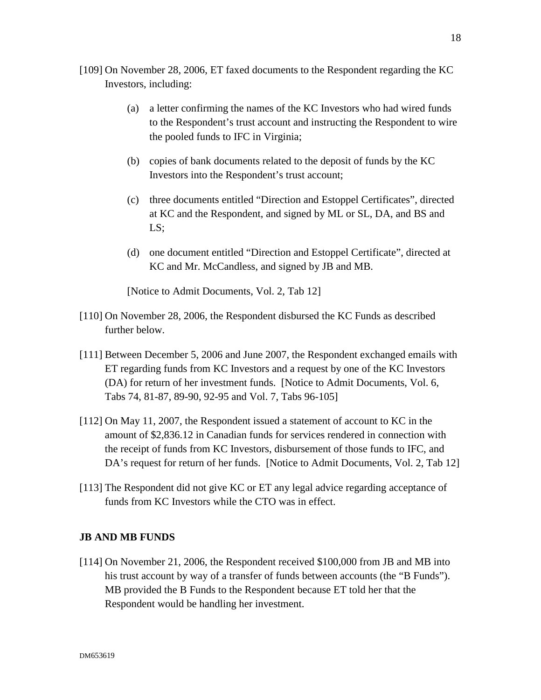- [109] On November 28, 2006, ET faxed documents to the Respondent regarding the KC Investors, including:
	- (a) a letter confirming the names of the KC Investors who had wired funds to the Respondent's trust account and instructing the Respondent to wire the pooled funds to IFC in Virginia;
	- (b) copies of bank documents related to the deposit of funds by the KC Investors into the Respondent's trust account;
	- (c) three documents entitled "Direction and Estoppel Certificates", directed at KC and the Respondent, and signed by ML or SL, DA, and BS and LS;
	- (d) one document entitled "Direction and Estoppel Certificate", directed at KC and Mr. McCandless, and signed by JB and MB.

[Notice to Admit Documents, Vol. 2, Tab 12]

- [110] On November 28, 2006, the Respondent disbursed the KC Funds as described further below.
- [111] Between December 5, 2006 and June 2007, the Respondent exchanged emails with ET regarding funds from KC Investors and a request by one of the KC Investors (DA) for return of her investment funds. [Notice to Admit Documents, Vol. 6, Tabs 74, 81-87, 89-90, 92-95 and Vol. 7, Tabs 96-105]
- [112] On May 11, 2007, the Respondent issued a statement of account to KC in the amount of \$2,836.12 in Canadian funds for services rendered in connection with the receipt of funds from KC Investors, disbursement of those funds to IFC, and DA's request for return of her funds. [Notice to Admit Documents, Vol. 2, Tab 12]
- [113] The Respondent did not give KC or ET any legal advice regarding acceptance of funds from KC Investors while the CTO was in effect.

## **JB AND MB FUNDS**

[114] On November 21, 2006, the Respondent received \$100,000 from JB and MB into his trust account by way of a transfer of funds between accounts (the "B Funds"). MB provided the B Funds to the Respondent because ET told her that the Respondent would be handling her investment.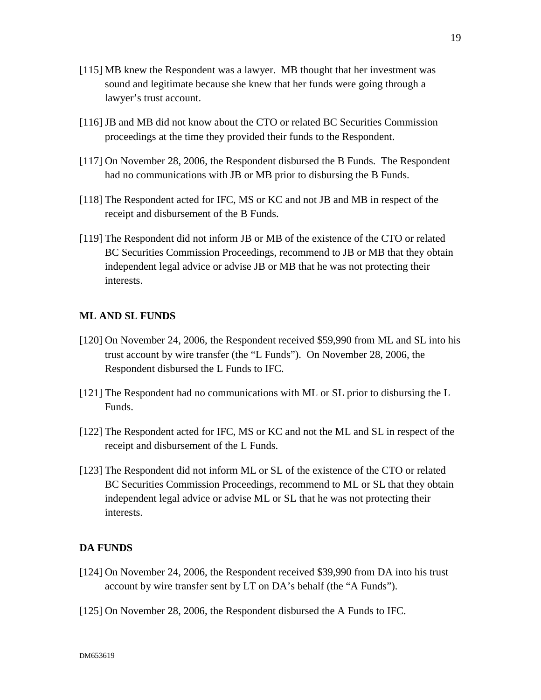- [115] MB knew the Respondent was a lawyer. MB thought that her investment was sound and legitimate because she knew that her funds were going through a lawyer's trust account.
- [116] JB and MB did not know about the CTO or related BC Securities Commission proceedings at the time they provided their funds to the Respondent.
- [117] On November 28, 2006, the Respondent disbursed the B Funds. The Respondent had no communications with JB or MB prior to disbursing the B Funds.
- [118] The Respondent acted for IFC, MS or KC and not JB and MB in respect of the receipt and disbursement of the B Funds.
- [119] The Respondent did not inform JB or MB of the existence of the CTO or related BC Securities Commission Proceedings, recommend to JB or MB that they obtain independent legal advice or advise JB or MB that he was not protecting their interests.

#### **ML AND SL FUNDS**

- [120] On November 24, 2006, the Respondent received \$59,990 from ML and SL into his trust account by wire transfer (the "L Funds"). On November 28, 2006, the Respondent disbursed the L Funds to IFC.
- [121] The Respondent had no communications with ML or SL prior to disbursing the L Funds.
- [122] The Respondent acted for IFC, MS or KC and not the ML and SL in respect of the receipt and disbursement of the L Funds.
- [123] The Respondent did not inform ML or SL of the existence of the CTO or related BC Securities Commission Proceedings, recommend to ML or SL that they obtain independent legal advice or advise ML or SL that he was not protecting their interests.

#### **DA FUNDS**

- [124] On November 24, 2006, the Respondent received \$39,990 from DA into his trust account by wire transfer sent by LT on DA's behalf (the "A Funds").
- [125] On November 28, 2006, the Respondent disbursed the A Funds to IFC.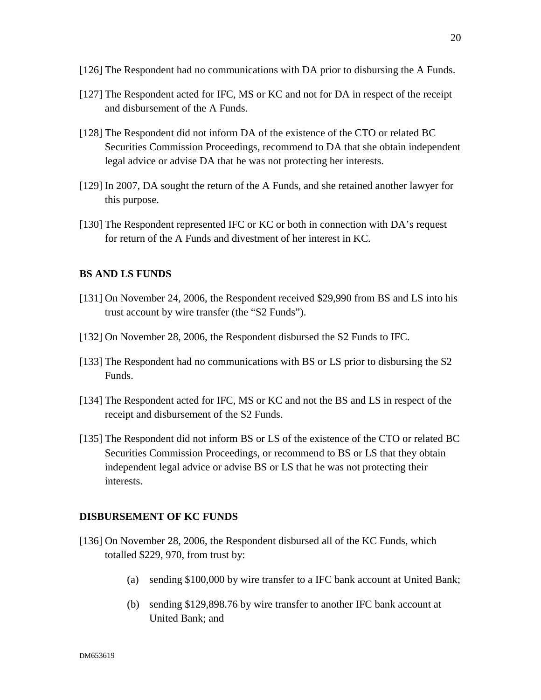- [126] The Respondent had no communications with DA prior to disbursing the A Funds.
- [127] The Respondent acted for IFC, MS or KC and not for DA in respect of the receipt and disbursement of the A Funds.
- [128] The Respondent did not inform DA of the existence of the CTO or related BC Securities Commission Proceedings, recommend to DA that she obtain independent legal advice or advise DA that he was not protecting her interests.
- [129] In 2007, DA sought the return of the A Funds, and she retained another lawyer for this purpose.
- [130] The Respondent represented IFC or KC or both in connection with DA's request for return of the A Funds and divestment of her interest in KC.

#### **BS AND LS FUNDS**

- [131] On November 24, 2006, the Respondent received \$29,990 from BS and LS into his trust account by wire transfer (the "S2 Funds").
- [132] On November 28, 2006, the Respondent disbursed the S2 Funds to IFC.
- [133] The Respondent had no communications with BS or LS prior to disbursing the S2 Funds.
- [134] The Respondent acted for IFC, MS or KC and not the BS and LS in respect of the receipt and disbursement of the S2 Funds.
- [135] The Respondent did not inform BS or LS of the existence of the CTO or related BC Securities Commission Proceedings, or recommend to BS or LS that they obtain independent legal advice or advise BS or LS that he was not protecting their interests.

#### **DISBURSEMENT OF KC FUNDS**

- [136] On November 28, 2006, the Respondent disbursed all of the KC Funds, which totalled \$229, 970, from trust by:
	- (a) sending \$100,000 by wire transfer to a IFC bank account at United Bank;
	- (b) sending \$129,898.76 by wire transfer to another IFC bank account at United Bank; and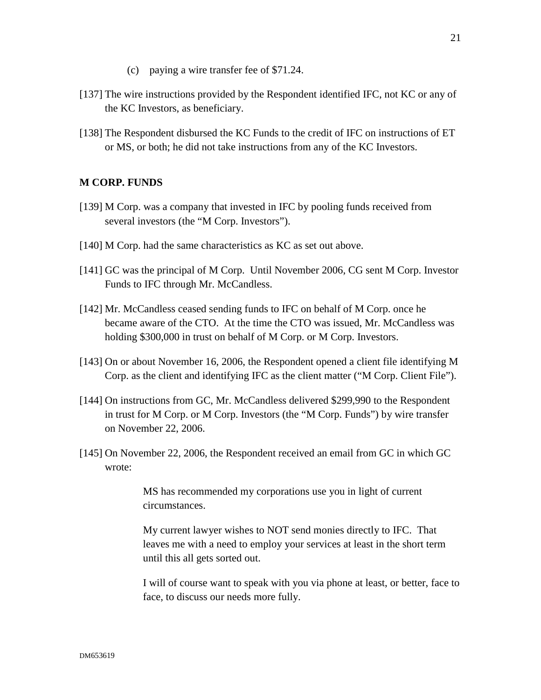- (c) paying a wire transfer fee of \$71.24.
- [137] The wire instructions provided by the Respondent identified IFC, not KC or any of the KC Investors, as beneficiary.
- [138] The Respondent disbursed the KC Funds to the credit of IFC on instructions of ET or MS, or both; he did not take instructions from any of the KC Investors.

# **M CORP. FUNDS**

- [139] M Corp. was a company that invested in IFC by pooling funds received from several investors (the "M Corp. Investors").
- [140] M Corp. had the same characteristics as KC as set out above.
- [141] GC was the principal of M Corp. Until November 2006, CG sent M Corp. Investor Funds to IFC through Mr. McCandless.
- [142] Mr. McCandless ceased sending funds to IFC on behalf of M Corp. once he became aware of the CTO. At the time the CTO was issued, Mr. McCandless was holding \$300,000 in trust on behalf of M Corp. or M Corp. Investors.
- [143] On or about November 16, 2006, the Respondent opened a client file identifying M Corp. as the client and identifying IFC as the client matter ("M Corp. Client File").
- [144] On instructions from GC, Mr. McCandless delivered \$299,990 to the Respondent in trust for M Corp. or M Corp. Investors (the "M Corp. Funds") by wire transfer on November 22, 2006.
- [145] On November 22, 2006, the Respondent received an email from GC in which GC wrote:

MS has recommended my corporations use you in light of current circumstances.

My current lawyer wishes to NOT send monies directly to IFC. That leaves me with a need to employ your services at least in the short term until this all gets sorted out.

I will of course want to speak with you via phone at least, or better, face to face, to discuss our needs more fully.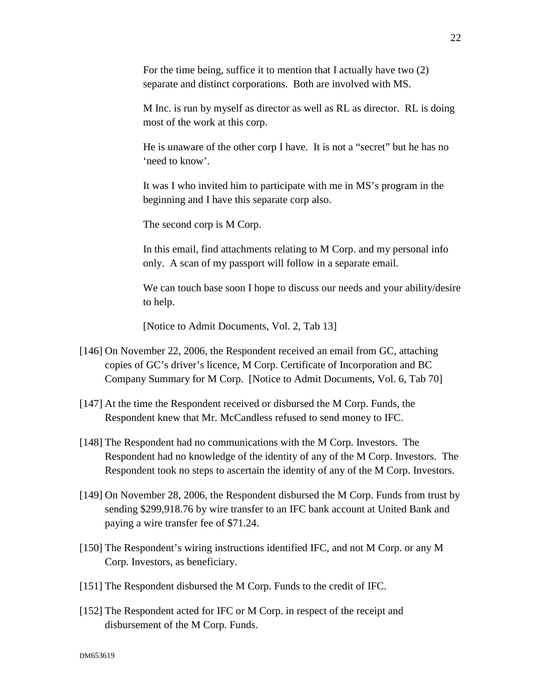For the time being, suffice it to mention that I actually have two (2) separate and distinct corporations. Both are involved with MS.

M Inc. is run by myself as director as well as RL as director. RL is doing most of the work at this corp.

He is unaware of the other corp I have. It is not a "secret" but he has no 'need to know'.

It was I who invited him to participate with me in MS's program in the beginning and I have this separate corp also.

The second corp is M Corp.

In this email, find attachments relating to M Corp. and my personal info only. A scan of my passport will follow in a separate email.

We can touch base soon I hope to discuss our needs and your ability/desire to help.

[Notice to Admit Documents, Vol. 2, Tab 13]

- [146] On November 22, 2006, the Respondent received an email from GC, attaching copies of GC's driver's licence, M Corp. Certificate of Incorporation and BC Company Summary for M Corp. [Notice to Admit Documents, Vol. 6, Tab 70]
- [147] At the time the Respondent received or disbursed the M Corp. Funds, the Respondent knew that Mr. McCandless refused to send money to IFC.
- [148] The Respondent had no communications with the M Corp. Investors. The Respondent had no knowledge of the identity of any of the M Corp. Investors. The Respondent took no steps to ascertain the identity of any of the M Corp. Investors.
- [149] On November 28, 2006, the Respondent disbursed the M Corp. Funds from trust by sending \$299,918.76 by wire transfer to an IFC bank account at United Bank and paying a wire transfer fee of \$71.24.
- [150] The Respondent's wiring instructions identified IFC, and not M Corp. or any M Corp. Investors, as beneficiary.
- [151] The Respondent disbursed the M Corp. Funds to the credit of IFC.
- [152] The Respondent acted for IFC or M Corp. in respect of the receipt and disbursement of the M Corp. Funds.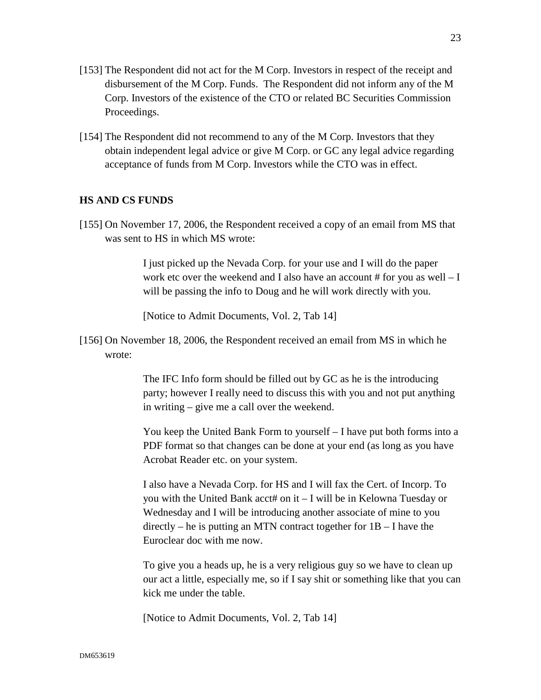- [153] The Respondent did not act for the M Corp. Investors in respect of the receipt and disbursement of the M Corp. Funds. The Respondent did not inform any of the M Corp. Investors of the existence of the CTO or related BC Securities Commission Proceedings.
- [154] The Respondent did not recommend to any of the M Corp. Investors that they obtain independent legal advice or give M Corp. or GC any legal advice regarding acceptance of funds from M Corp. Investors while the CTO was in effect.

## **HS AND CS FUNDS**

[155] On November 17, 2006, the Respondent received a copy of an email from MS that was sent to HS in which MS wrote:

> I just picked up the Nevada Corp. for your use and I will do the paper work etc over the weekend and I also have an account  $#$  for you as well  $- I$ will be passing the info to Doug and he will work directly with you.

[Notice to Admit Documents, Vol. 2, Tab 14]

[156] On November 18, 2006, the Respondent received an email from MS in which he wrote:

> The IFC Info form should be filled out by GC as he is the introducing party; however I really need to discuss this with you and not put anything in writing – give me a call over the weekend.

You keep the United Bank Form to yourself – I have put both forms into a PDF format so that changes can be done at your end (as long as you have Acrobat Reader etc. on your system.

I also have a Nevada Corp. for HS and I will fax the Cert. of Incorp. To you with the United Bank acct# on it – I will be in Kelowna Tuesday or Wednesday and I will be introducing another associate of mine to you directly – he is putting an MTN contract together for  $1B - I$  have the Euroclear doc with me now.

To give you a heads up, he is a very religious guy so we have to clean up our act a little, especially me, so if I say shit or something like that you can kick me under the table.

[Notice to Admit Documents, Vol. 2, Tab 14]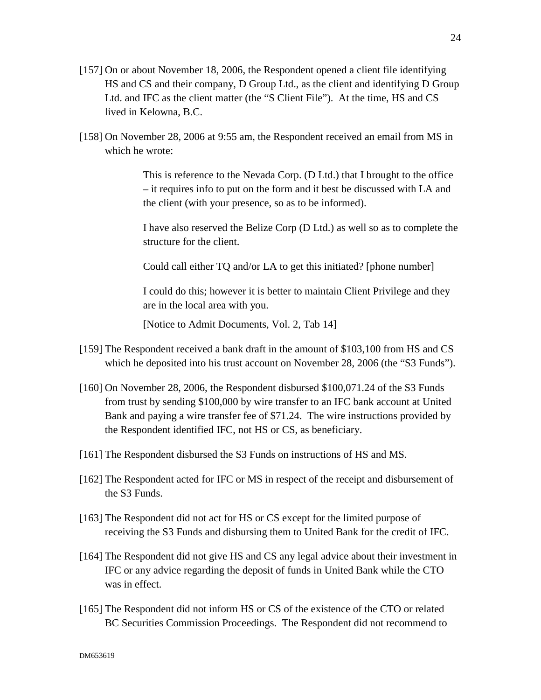- [157] On or about November 18, 2006, the Respondent opened a client file identifying HS and CS and their company, D Group Ltd., as the client and identifying D Group Ltd. and IFC as the client matter (the "S Client File"). At the time, HS and CS lived in Kelowna, B.C.
- [158] On November 28, 2006 at 9:55 am, the Respondent received an email from MS in which he wrote:

This is reference to the Nevada Corp. (D Ltd.) that I brought to the office – it requires info to put on the form and it best be discussed with LA and the client (with your presence, so as to be informed).

I have also reserved the Belize Corp (D Ltd.) as well so as to complete the structure for the client.

Could call either TQ and/or LA to get this initiated? [phone number]

I could do this; however it is better to maintain Client Privilege and they are in the local area with you.

[Notice to Admit Documents, Vol. 2, Tab 14]

- [159] The Respondent received a bank draft in the amount of \$103,100 from HS and CS which he deposited into his trust account on November 28, 2006 (the "S3 Funds").
- [160] On November 28, 2006, the Respondent disbursed \$100,071.24 of the S3 Funds from trust by sending \$100,000 by wire transfer to an IFC bank account at United Bank and paying a wire transfer fee of \$71.24. The wire instructions provided by the Respondent identified IFC, not HS or CS, as beneficiary.
- [161] The Respondent disbursed the S3 Funds on instructions of HS and MS.
- [162] The Respondent acted for IFC or MS in respect of the receipt and disbursement of the S3 Funds.
- [163] The Respondent did not act for HS or CS except for the limited purpose of receiving the S3 Funds and disbursing them to United Bank for the credit of IFC.
- [164] The Respondent did not give HS and CS any legal advice about their investment in IFC or any advice regarding the deposit of funds in United Bank while the CTO was in effect.
- [165] The Respondent did not inform HS or CS of the existence of the CTO or related BC Securities Commission Proceedings. The Respondent did not recommend to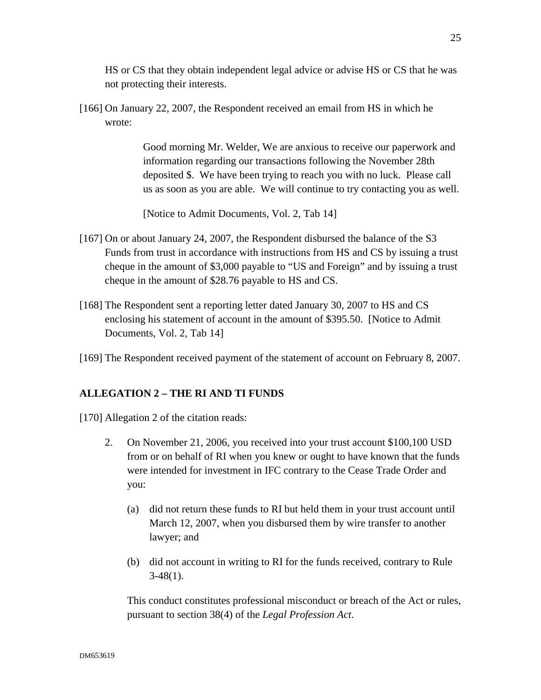HS or CS that they obtain independent legal advice or advise HS or CS that he was not protecting their interests.

[166] On January 22, 2007, the Respondent received an email from HS in which he wrote:

> Good morning Mr. Welder, We are anxious to receive our paperwork and information regarding our transactions following the November 28th deposited \$. We have been trying to reach you with no luck. Please call us as soon as you are able. We will continue to try contacting you as well.

[Notice to Admit Documents, Vol. 2, Tab 14]

- [167] On or about January 24, 2007, the Respondent disbursed the balance of the S3 Funds from trust in accordance with instructions from HS and CS by issuing a trust cheque in the amount of \$3,000 payable to "US and Foreign" and by issuing a trust cheque in the amount of \$28.76 payable to HS and CS.
- [168] The Respondent sent a reporting letter dated January 30, 2007 to HS and CS enclosing his statement of account in the amount of \$395.50. [Notice to Admit Documents, Vol. 2, Tab 14]
- [169] The Respondent received payment of the statement of account on February 8, 2007.

## **ALLEGATION 2 – THE RI AND TI FUNDS**

- [170] Allegation 2 of the citation reads:
	- 2. On November 21, 2006, you received into your trust account \$100,100 USD from or on behalf of RI when you knew or ought to have known that the funds were intended for investment in IFC contrary to the Cease Trade Order and you:
		- (a) did not return these funds to RI but held them in your trust account until March 12, 2007, when you disbursed them by wire transfer to another lawyer; and
		- (b) did not account in writing to RI for the funds received, contrary to Rule  $3-48(1)$ .

This conduct constitutes professional misconduct or breach of the Act or rules, pursuant to section 38(4) of the *Legal Profession Act*.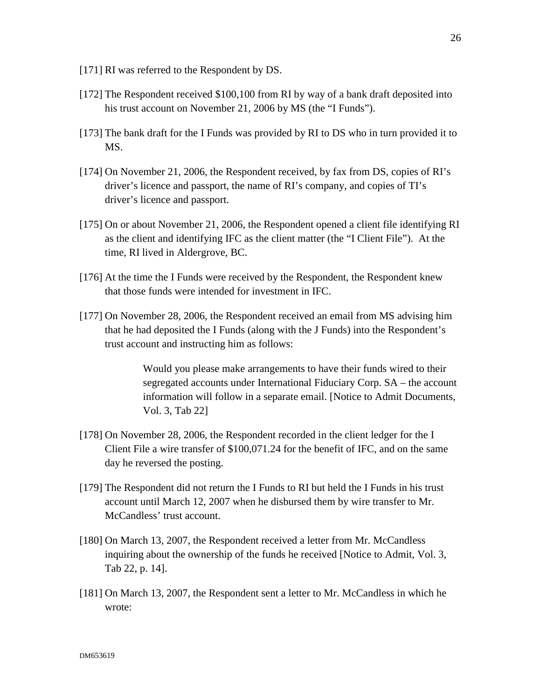- [171] RI was referred to the Respondent by DS.
- [172] The Respondent received \$100,100 from RI by way of a bank draft deposited into his trust account on November 21, 2006 by MS (the "I Funds").
- [173] The bank draft for the I Funds was provided by RI to DS who in turn provided it to MS.
- [174] On November 21, 2006, the Respondent received, by fax from DS, copies of RI's driver's licence and passport, the name of RI's company, and copies of TI's driver's licence and passport.
- [175] On or about November 21, 2006, the Respondent opened a client file identifying RI as the client and identifying IFC as the client matter (the "I Client File"). At the time, RI lived in Aldergrove, BC.
- [176] At the time the I Funds were received by the Respondent, the Respondent knew that those funds were intended for investment in IFC.
- [177] On November 28, 2006, the Respondent received an email from MS advising him that he had deposited the I Funds (along with the J Funds) into the Respondent's trust account and instructing him as follows:

Would you please make arrangements to have their funds wired to their segregated accounts under International Fiduciary Corp. SA – the account information will follow in a separate email. [Notice to Admit Documents, Vol. 3, Tab 22]

- [178] On November 28, 2006, the Respondent recorded in the client ledger for the I Client File a wire transfer of \$100,071.24 for the benefit of IFC, and on the same day he reversed the posting.
- [179] The Respondent did not return the I Funds to RI but held the I Funds in his trust account until March 12, 2007 when he disbursed them by wire transfer to Mr. McCandless' trust account.
- [180] On March 13, 2007, the Respondent received a letter from Mr. McCandless inquiring about the ownership of the funds he received [Notice to Admit, Vol. 3, Tab 22, p. 14].
- [181] On March 13, 2007, the Respondent sent a letter to Mr. McCandless in which he wrote: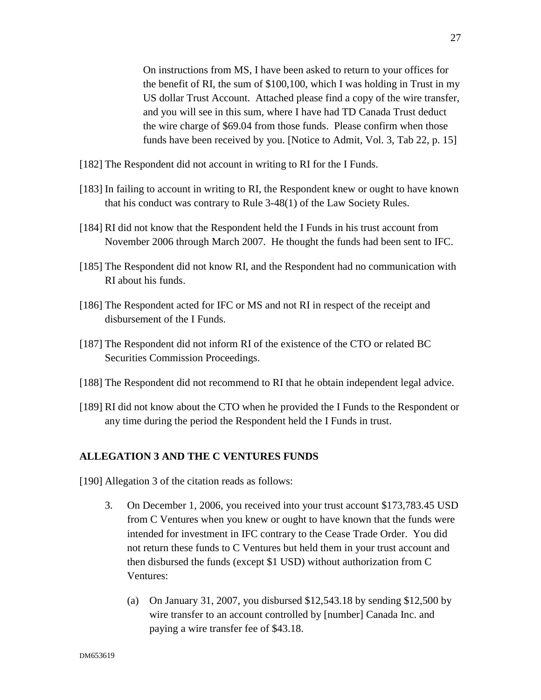On instructions from MS, I have been asked to return to your offices for the benefit of RI, the sum of \$100,100, which I was holding in Trust in my US dollar Trust Account. Attached please find a copy of the wire transfer, and you will see in this sum, where I have had TD Canada Trust deduct the wire charge of \$69.04 from those funds. Please confirm when those funds have been received by you. [Notice to Admit, Vol. 3, Tab 22, p. 15]

- [182] The Respondent did not account in writing to RI for the I Funds.
- [183] In failing to account in writing to RI, the Respondent knew or ought to have known that his conduct was contrary to Rule 3-48(1) of the Law Society Rules.
- [184] RI did not know that the Respondent held the I Funds in his trust account from November 2006 through March 2007. He thought the funds had been sent to IFC.
- [185] The Respondent did not know RI, and the Respondent had no communication with RI about his funds.
- [186] The Respondent acted for IFC or MS and not RI in respect of the receipt and disbursement of the I Funds.
- [187] The Respondent did not inform RI of the existence of the CTO or related BC Securities Commission Proceedings.
- [188] The Respondent did not recommend to RI that he obtain independent legal advice.
- [189] RI did not know about the CTO when he provided the I Funds to the Respondent or any time during the period the Respondent held the I Funds in trust.

# **ALLEGATION 3 AND THE C VENTURES FUNDS**

[190] Allegation 3 of the citation reads as follows:

- 3. On December 1, 2006, you received into your trust account \$173,783.45 USD from C Ventures when you knew or ought to have known that the funds were intended for investment in IFC contrary to the Cease Trade Order. You did not return these funds to C Ventures but held them in your trust account and then disbursed the funds (except \$1 USD) without authorization from C Ventures:
	- (a) On January 31, 2007, you disbursed \$12,543.18 by sending \$12,500 by wire transfer to an account controlled by [number] Canada Inc. and paying a wire transfer fee of \$43.18.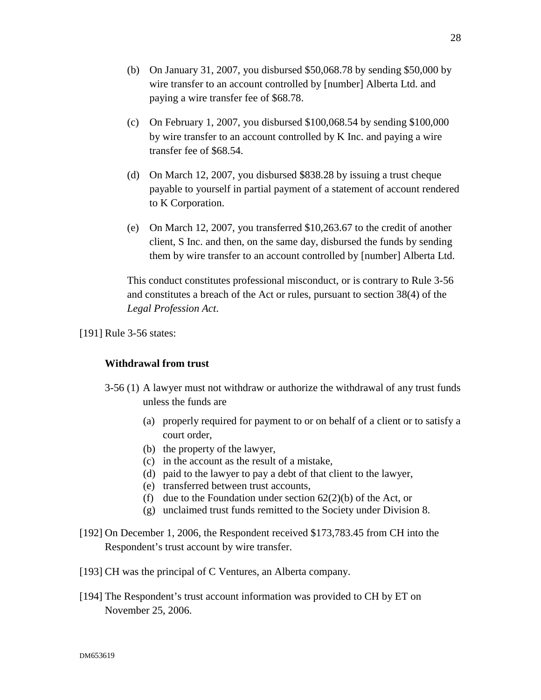- (c) On February 1, 2007, you disbursed \$100,068.54 by sending \$100,000 by wire transfer to an account controlled by K Inc. and paying a wire transfer fee of \$68.54.
- (d) On March 12, 2007, you disbursed \$838.28 by issuing a trust cheque payable to yourself in partial payment of a statement of account rendered to K Corporation.
- (e) On March 12, 2007, you transferred \$10,263.67 to the credit of another client, S Inc. and then, on the same day, disbursed the funds by sending them by wire transfer to an account controlled by [number] Alberta Ltd.

This conduct constitutes professional misconduct, or is contrary to Rule 3-56 and constitutes a breach of the Act or rules, pursuant to section 38(4) of the *Legal Profession Act*.

[191] Rule 3-56 states:

## **Withdrawal from trust**

- 3-56 (1) A lawyer must not withdraw or authorize the withdrawal of any trust funds unless the funds are
	- (a) properly required for payment to or on behalf of a client or to satisfy a court order,
	- (b) the property of the lawyer,
	- (c) in the account as the result of a mistake,
	- (d) paid to the lawyer to pay a debt of that client to the lawyer,
	- (e) transferred between trust accounts,
	- (f) due to the Foundation under section  $62(2)(b)$  of the Act, or
	- (g) unclaimed trust funds remitted to the Society under Division 8.
- [192] On December 1, 2006, the Respondent received \$173,783.45 from CH into the Respondent's trust account by wire transfer.
- [193] CH was the principal of C Ventures, an Alberta company.
- [194] The Respondent's trust account information was provided to CH by ET on November 25, 2006.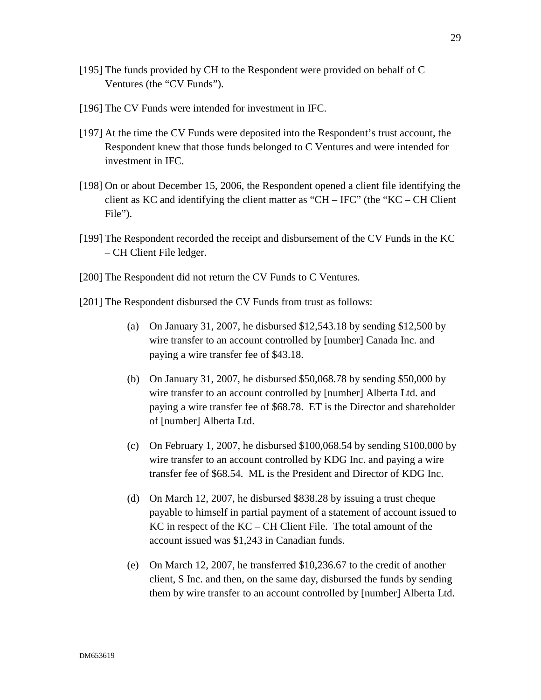- [195] The funds provided by CH to the Respondent were provided on behalf of C Ventures (the "CV Funds").
- [196] The CV Funds were intended for investment in IFC.
- [197] At the time the CV Funds were deposited into the Respondent's trust account, the Respondent knew that those funds belonged to C Ventures and were intended for investment in IFC.
- [198] On or about December 15, 2006, the Respondent opened a client file identifying the client as KC and identifying the client matter as "CH – IFC" (the "KC – CH Client File").
- [199] The Respondent recorded the receipt and disbursement of the CV Funds in the KC – CH Client File ledger.
- [200] The Respondent did not return the CV Funds to C Ventures.
- [201] The Respondent disbursed the CV Funds from trust as follows:
	- (a) On January 31, 2007, he disbursed \$12,543.18 by sending \$12,500 by wire transfer to an account controlled by [number] Canada Inc. and paying a wire transfer fee of \$43.18.
	- (b) On January 31, 2007, he disbursed \$50,068.78 by sending \$50,000 by wire transfer to an account controlled by [number] Alberta Ltd. and paying a wire transfer fee of \$68.78. ET is the Director and shareholder of [number] Alberta Ltd.
	- (c) On February 1, 2007, he disbursed \$100,068.54 by sending \$100,000 by wire transfer to an account controlled by KDG Inc. and paying a wire transfer fee of \$68.54. ML is the President and Director of KDG Inc.
	- (d) On March 12, 2007, he disbursed \$838.28 by issuing a trust cheque payable to himself in partial payment of a statement of account issued to KC in respect of the KC – CH Client File. The total amount of the account issued was \$1,243 in Canadian funds.
	- (e) On March 12, 2007, he transferred \$10,236.67 to the credit of another client, S Inc. and then, on the same day, disbursed the funds by sending them by wire transfer to an account controlled by [number] Alberta Ltd.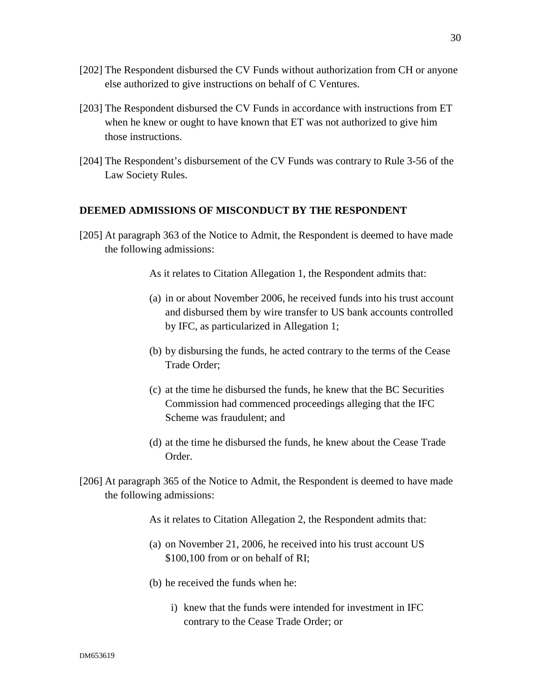- [202] The Respondent disbursed the CV Funds without authorization from CH or anyone else authorized to give instructions on behalf of C Ventures.
- [203] The Respondent disbursed the CV Funds in accordance with instructions from ET when he knew or ought to have known that ET was not authorized to give him those instructions.
- [204] The Respondent's disbursement of the CV Funds was contrary to Rule 3-56 of the Law Society Rules.

#### **DEEMED ADMISSIONS OF MISCONDUCT BY THE RESPONDENT**

[205] At paragraph 363 of the Notice to Admit, the Respondent is deemed to have made the following admissions:

As it relates to Citation Allegation 1, the Respondent admits that:

- (a) in or about November 2006, he received funds into his trust account and disbursed them by wire transfer to US bank accounts controlled by IFC, as particularized in Allegation 1;
- (b) by disbursing the funds, he acted contrary to the terms of the Cease Trade Order;
- (c) at the time he disbursed the funds, he knew that the BC Securities Commission had commenced proceedings alleging that the IFC Scheme was fraudulent; and
- (d) at the time he disbursed the funds, he knew about the Cease Trade Order.
- [206] At paragraph 365 of the Notice to Admit, the Respondent is deemed to have made the following admissions:

As it relates to Citation Allegation 2, the Respondent admits that:

- (a) on November 21, 2006, he received into his trust account US \$100,100 from or on behalf of RI;
- (b) he received the funds when he:
	- i) knew that the funds were intended for investment in IFC contrary to the Cease Trade Order; or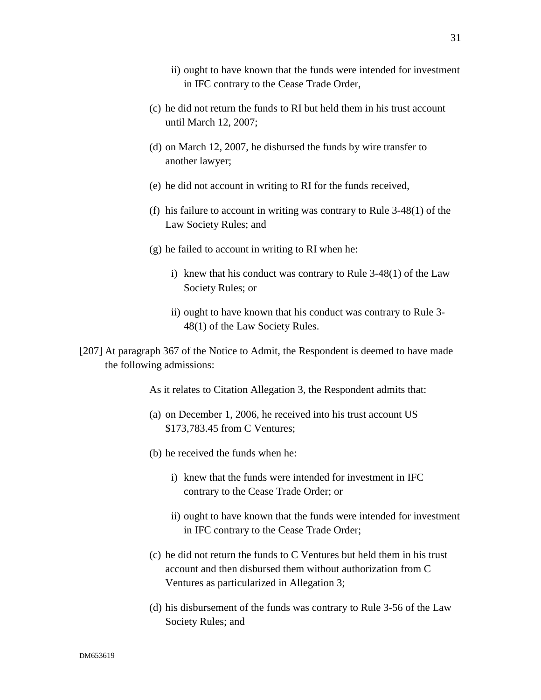- ii) ought to have known that the funds were intended for investment in IFC contrary to the Cease Trade Order,
- (c) he did not return the funds to RI but held them in his trust account until March 12, 2007;
- (d) on March 12, 2007, he disbursed the funds by wire transfer to another lawyer;
- (e) he did not account in writing to RI for the funds received,
- (f) his failure to account in writing was contrary to Rule 3-48(1) of the Law Society Rules; and
- (g) he failed to account in writing to RI when he:
	- i) knew that his conduct was contrary to Rule 3-48(1) of the Law Society Rules; or
	- ii) ought to have known that his conduct was contrary to Rule 3- 48(1) of the Law Society Rules.
- [207] At paragraph 367 of the Notice to Admit, the Respondent is deemed to have made the following admissions:

As it relates to Citation Allegation 3, the Respondent admits that:

- (a) on December 1, 2006, he received into his trust account US \$173,783.45 from C Ventures;
- (b) he received the funds when he:
	- i) knew that the funds were intended for investment in IFC contrary to the Cease Trade Order; or
	- ii) ought to have known that the funds were intended for investment in IFC contrary to the Cease Trade Order;
- (c) he did not return the funds to C Ventures but held them in his trust account and then disbursed them without authorization from C Ventures as particularized in Allegation 3;
- (d) his disbursement of the funds was contrary to Rule 3-56 of the Law Society Rules; and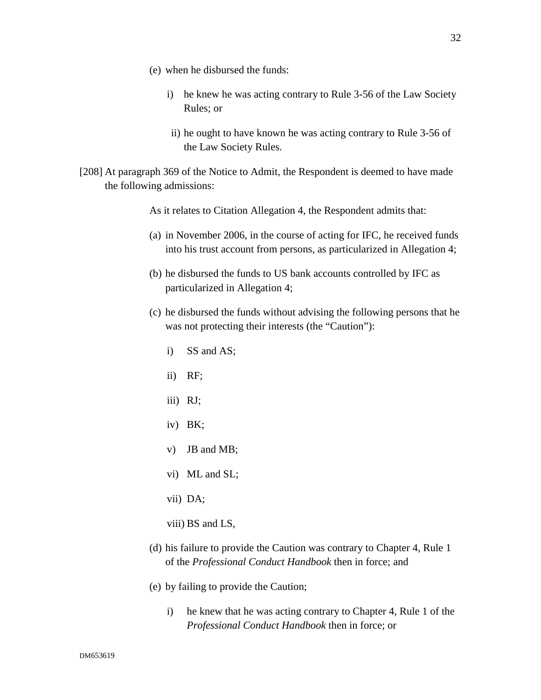- (e) when he disbursed the funds:
	- i) he knew he was acting contrary to Rule 3-56 of the Law Society Rules; or
	- ii) he ought to have known he was acting contrary to Rule 3-56 of the Law Society Rules.
- [208] At paragraph 369 of the Notice to Admit, the Respondent is deemed to have made the following admissions:

As it relates to Citation Allegation 4, the Respondent admits that:

- (a) in November 2006, in the course of acting for IFC, he received funds into his trust account from persons, as particularized in Allegation 4;
- (b) he disbursed the funds to US bank accounts controlled by IFC as particularized in Allegation 4;
- (c) he disbursed the funds without advising the following persons that he was not protecting their interests (the "Caution"):
	- i) SS and AS;
	- ii) RF;
	- iii) RJ;
	- iv) BK;
	- v) JB and MB;
	- vi) ML and SL;
	- vii) DA;
	- viii) BS and LS,
- (d) his failure to provide the Caution was contrary to Chapter 4, Rule 1 of the *Professional Conduct Handbook* then in force; and
- (e) by failing to provide the Caution;
	- i) he knew that he was acting contrary to Chapter 4, Rule 1 of the *Professional Conduct Handbook* then in force; or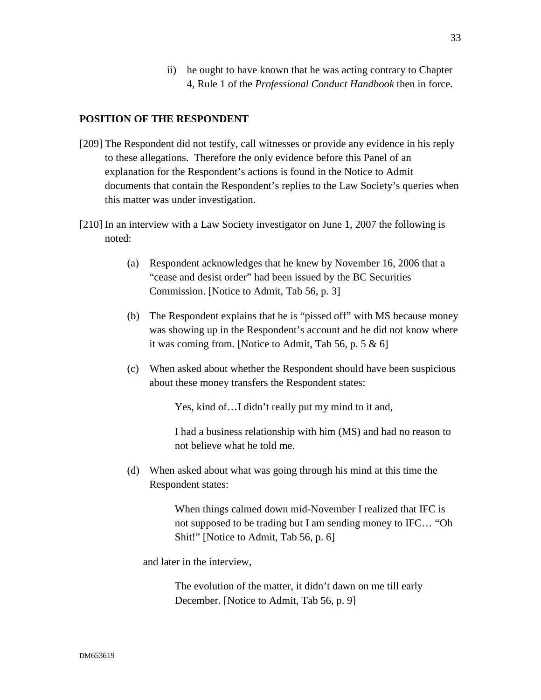ii) he ought to have known that he was acting contrary to Chapter 4, Rule 1 of the *Professional Conduct Handbook* then in force.

# **POSITION OF THE RESPONDENT**

- [209] The Respondent did not testify, call witnesses or provide any evidence in his reply to these allegations. Therefore the only evidence before this Panel of an explanation for the Respondent's actions is found in the Notice to Admit documents that contain the Respondent's replies to the Law Society's queries when this matter was under investigation.
- [210] In an interview with a Law Society investigator on June 1, 2007 the following is noted:
	- (a) Respondent acknowledges that he knew by November 16, 2006 that a "cease and desist order" had been issued by the BC Securities Commission. [Notice to Admit, Tab 56, p. 3]
	- (b) The Respondent explains that he is "pissed off" with MS because money was showing up in the Respondent's account and he did not know where it was coming from. [Notice to Admit, Tab 56, p. 5 & 6]
	- (c) When asked about whether the Respondent should have been suspicious about these money transfers the Respondent states:

Yes, kind of…I didn't really put my mind to it and,

I had a business relationship with him (MS) and had no reason to not believe what he told me.

(d) When asked about what was going through his mind at this time the Respondent states:

> When things calmed down mid-November I realized that IFC is not supposed to be trading but I am sending money to IFC… "Oh Shit!" [Notice to Admit, Tab 56, p. 6]

and later in the interview,

The evolution of the matter, it didn't dawn on me till early December. [Notice to Admit, Tab 56, p. 9]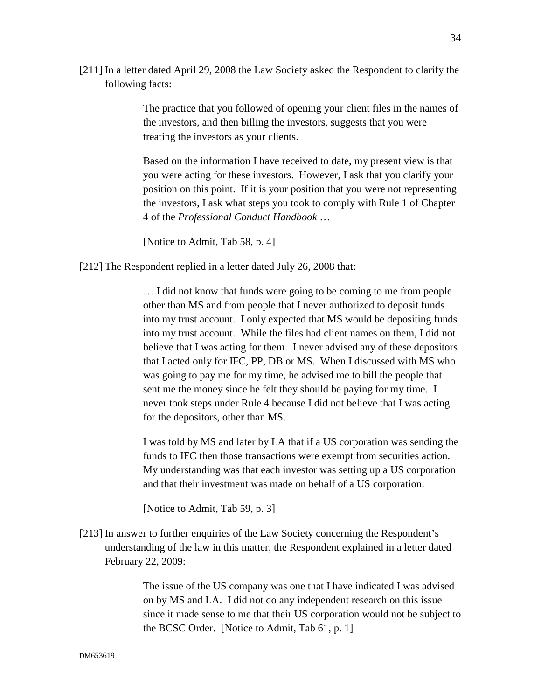[211] In a letter dated April 29, 2008 the Law Society asked the Respondent to clarify the following facts:

> The practice that you followed of opening your client files in the names of the investors, and then billing the investors, suggests that you were treating the investors as your clients.

> Based on the information I have received to date, my present view is that you were acting for these investors. However, I ask that you clarify your position on this point. If it is your position that you were not representing the investors, I ask what steps you took to comply with Rule 1 of Chapter 4 of the *Professional Conduct Handbook* …

[Notice to Admit, Tab 58, p. 4]

[212] The Respondent replied in a letter dated July 26, 2008 that:

… I did not know that funds were going to be coming to me from people other than MS and from people that I never authorized to deposit funds into my trust account. I only expected that MS would be depositing funds into my trust account. While the files had client names on them, I did not believe that I was acting for them. I never advised any of these depositors that I acted only for IFC, PP, DB or MS. When I discussed with MS who was going to pay me for my time, he advised me to bill the people that sent me the money since he felt they should be paying for my time. I never took steps under Rule 4 because I did not believe that I was acting for the depositors, other than MS.

I was told by MS and later by LA that if a US corporation was sending the funds to IFC then those transactions were exempt from securities action. My understanding was that each investor was setting up a US corporation and that their investment was made on behalf of a US corporation.

[Notice to Admit, Tab 59, p. 3]

[213] In answer to further enquiries of the Law Society concerning the Respondent's understanding of the law in this matter, the Respondent explained in a letter dated February 22, 2009:

> The issue of the US company was one that I have indicated I was advised on by MS and LA. I did not do any independent research on this issue since it made sense to me that their US corporation would not be subject to the BCSC Order. [Notice to Admit, Tab 61, p. 1]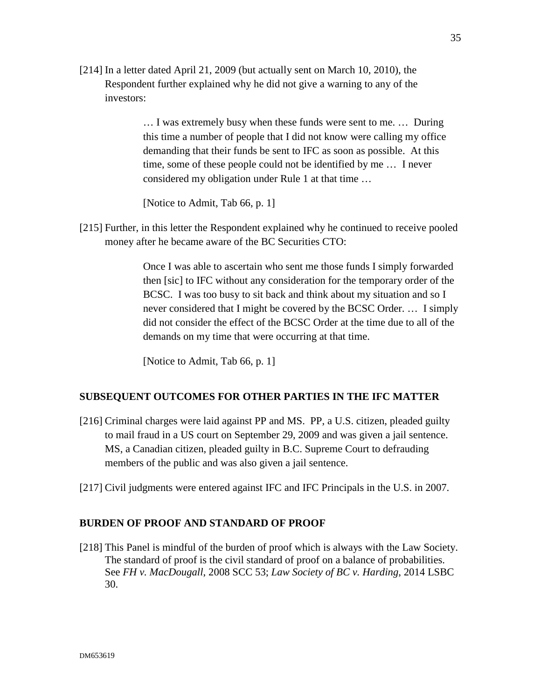[214] In a letter dated April 21, 2009 (but actually sent on March 10, 2010), the Respondent further explained why he did not give a warning to any of the investors:

> … I was extremely busy when these funds were sent to me. … During this time a number of people that I did not know were calling my office demanding that their funds be sent to IFC as soon as possible. At this time, some of these people could not be identified by me … I never considered my obligation under Rule 1 at that time …

[Notice to Admit, Tab 66, p. 1]

[215] Further, in this letter the Respondent explained why he continued to receive pooled money after he became aware of the BC Securities CTO:

> Once I was able to ascertain who sent me those funds I simply forwarded then [sic] to IFC without any consideration for the temporary order of the BCSC. I was too busy to sit back and think about my situation and so I never considered that I might be covered by the BCSC Order. … I simply did not consider the effect of the BCSC Order at the time due to all of the demands on my time that were occurring at that time.

[Notice to Admit, Tab 66, p. 1]

## **SUBSEQUENT OUTCOMES FOR OTHER PARTIES IN THE IFC MATTER**

- [216] Criminal charges were laid against PP and MS. PP, a U.S. citizen, pleaded guilty to mail fraud in a US court on September 29, 2009 and was given a jail sentence. MS, a Canadian citizen, pleaded guilty in B.C. Supreme Court to defrauding members of the public and was also given a jail sentence.
- [217] Civil judgments were entered against IFC and IFC Principals in the U.S. in 2007.

#### **BURDEN OF PROOF AND STANDARD OF PROOF**

[218] This Panel is mindful of the burden of proof which is always with the Law Society. The standard of proof is the civil standard of proof on a balance of probabilities. See *FH v. MacDougall*, 2008 SCC 53; *Law Society of BC v. Harding*, 2014 LSBC 30.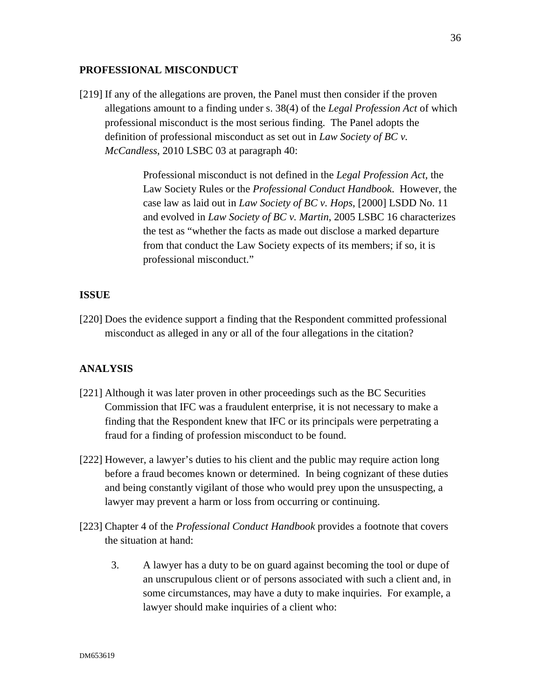## **PROFESSIONAL MISCONDUCT**

[219] If any of the allegations are proven, the Panel must then consider if the proven allegations amount to a finding under s. 38(4) of the *Legal Profession Act* of which professional misconduct is the most serious finding. The Panel adopts the definition of professional misconduct as set out in *Law Society of BC v. McCandless*, 2010 LSBC 03 at paragraph 40:

> Professional misconduct is not defined in the *Legal Profession Act,* the Law Society Rules or the *Professional Conduct Handbook*. However, the case law as laid out in *Law Society of BC v. Hops*, [2000] LSDD No. 11 and evolved in *Law Society of BC v. Martin*, 2005 LSBC 16 characterizes the test as "whether the facts as made out disclose a marked departure from that conduct the Law Society expects of its members; if so, it is professional misconduct."

## **ISSUE**

[220] Does the evidence support a finding that the Respondent committed professional misconduct as alleged in any or all of the four allegations in the citation?

#### **ANALYSIS**

- [221] Although it was later proven in other proceedings such as the BC Securities Commission that IFC was a fraudulent enterprise, it is not necessary to make a finding that the Respondent knew that IFC or its principals were perpetrating a fraud for a finding of profession misconduct to be found.
- [222] However, a lawyer's duties to his client and the public may require action long before a fraud becomes known or determined. In being cognizant of these duties and being constantly vigilant of those who would prey upon the unsuspecting, a lawyer may prevent a harm or loss from occurring or continuing.
- [223] Chapter 4 of the *Professional Conduct Handbook* provides a footnote that covers the situation at hand:
	- 3. A lawyer has a duty to be on guard against becoming the tool or dupe of an unscrupulous client or of persons associated with such a client and, in some circumstances, may have a duty to make inquiries. For example, a lawyer should make inquiries of a client who: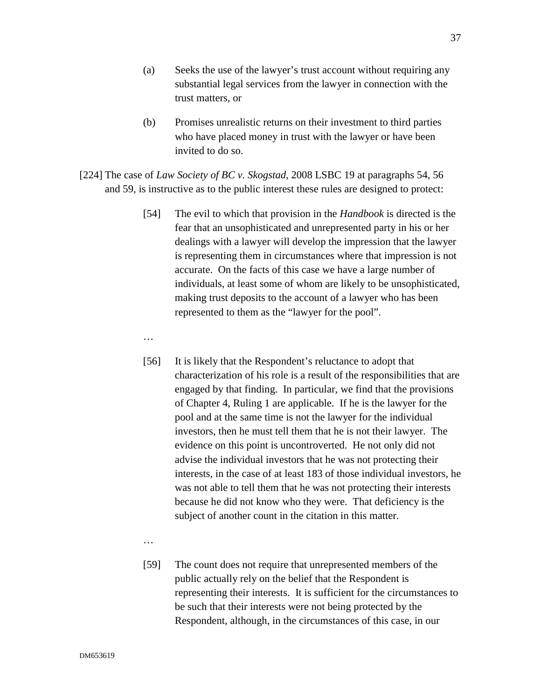- (a) Seeks the use of the lawyer's trust account without requiring any substantial legal services from the lawyer in connection with the trust matters, or
- (b) Promises unrealistic returns on their investment to third parties who have placed money in trust with the lawyer or have been invited to do so.
- [224] The case of *Law Society of BC v. Skogstad*, 2008 LSBC 19 at paragraphs 54, 56 and 59, is instructive as to the public interest these rules are designed to protect:
	- [54] The evil to which that provision in the *Handbook* is directed is the fear that an unsophisticated and unrepresented party in his or her dealings with a lawyer will develop the impression that the lawyer is representing them in circumstances where that impression is not accurate. On the facts of this case we have a large number of individuals, at least some of whom are likely to be unsophisticated, making trust deposits to the account of a lawyer who has been represented to them as the "lawyer for the pool".
	- …
	- [56] It is likely that the Respondent's reluctance to adopt that characterization of his role is a result of the responsibilities that are engaged by that finding. In particular, we find that the provisions of Chapter 4, Ruling 1 are applicable. If he is the lawyer for the pool and at the same time is not the lawyer for the individual investors, then he must tell them that he is not their lawyer. The evidence on this point is uncontroverted. He not only did not advise the individual investors that he was not protecting their interests, in the case of at least 183 of those individual investors, he was not able to tell them that he was not protecting their interests because he did not know who they were. That deficiency is the subject of another count in the citation in this matter.
	- …
	- [59] The count does not require that unrepresented members of the public actually rely on the belief that the Respondent is representing their interests. It is sufficient for the circumstances to be such that their interests were not being protected by the Respondent, although, in the circumstances of this case, in our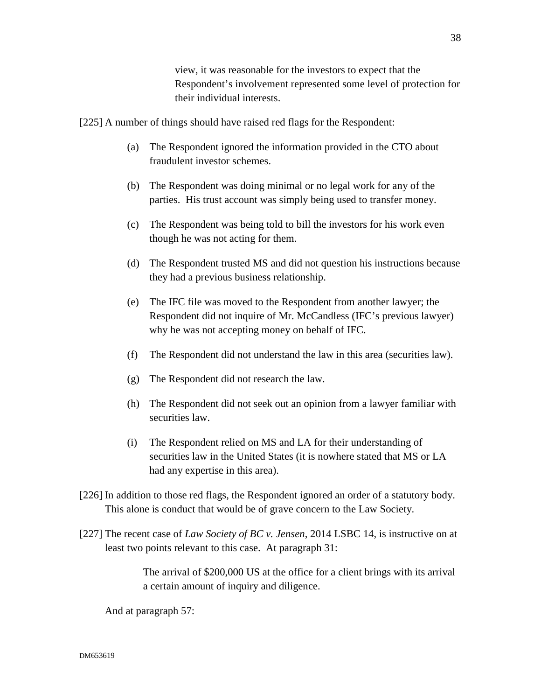view, it was reasonable for the investors to expect that the Respondent's involvement represented some level of protection for their individual interests.

[225] A number of things should have raised red flags for the Respondent:

- (a) The Respondent ignored the information provided in the CTO about fraudulent investor schemes.
- (b) The Respondent was doing minimal or no legal work for any of the parties. His trust account was simply being used to transfer money.
- (c) The Respondent was being told to bill the investors for his work even though he was not acting for them.
- (d) The Respondent trusted MS and did not question his instructions because they had a previous business relationship.
- (e) The IFC file was moved to the Respondent from another lawyer; the Respondent did not inquire of Mr. McCandless (IFC's previous lawyer) why he was not accepting money on behalf of IFC.
- (f) The Respondent did not understand the law in this area (securities law).
- (g) The Respondent did not research the law.
- (h) The Respondent did not seek out an opinion from a lawyer familiar with securities law.
- (i) The Respondent relied on MS and LA for their understanding of securities law in the United States (it is nowhere stated that MS or LA had any expertise in this area).
- [226] In addition to those red flags, the Respondent ignored an order of a statutory body. This alone is conduct that would be of grave concern to the Law Society.
- [227] The recent case of *Law Society of BC v. Jensen*, 2014 LSBC 14, is instructive on at least two points relevant to this case. At paragraph 31:

The arrival of \$200,000 US at the office for a client brings with its arrival a certain amount of inquiry and diligence.

And at paragraph 57: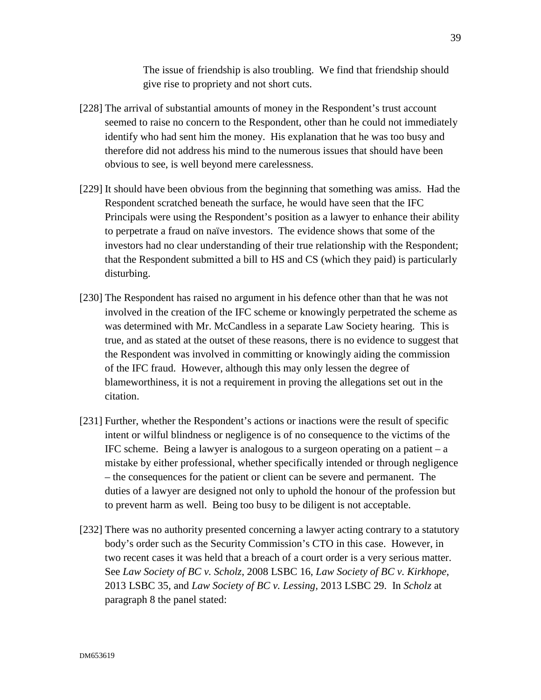The issue of friendship is also troubling. We find that friendship should give rise to propriety and not short cuts.

- [228] The arrival of substantial amounts of money in the Respondent's trust account seemed to raise no concern to the Respondent, other than he could not immediately identify who had sent him the money. His explanation that he was too busy and therefore did not address his mind to the numerous issues that should have been obvious to see, is well beyond mere carelessness.
- [229] It should have been obvious from the beginning that something was amiss. Had the Respondent scratched beneath the surface, he would have seen that the IFC Principals were using the Respondent's position as a lawyer to enhance their ability to perpetrate a fraud on naïve investors. The evidence shows that some of the investors had no clear understanding of their true relationship with the Respondent; that the Respondent submitted a bill to HS and CS (which they paid) is particularly disturbing.
- [230] The Respondent has raised no argument in his defence other than that he was not involved in the creation of the IFC scheme or knowingly perpetrated the scheme as was determined with Mr. McCandless in a separate Law Society hearing. This is true, and as stated at the outset of these reasons, there is no evidence to suggest that the Respondent was involved in committing or knowingly aiding the commission of the IFC fraud. However, although this may only lessen the degree of blameworthiness, it is not a requirement in proving the allegations set out in the citation.
- [231] Further, whether the Respondent's actions or inactions were the result of specific intent or wilful blindness or negligence is of no consequence to the victims of the IFC scheme. Being a lawyer is analogous to a surgeon operating on a patient  $-$  a mistake by either professional, whether specifically intended or through negligence – the consequences for the patient or client can be severe and permanent. The duties of a lawyer are designed not only to uphold the honour of the profession but to prevent harm as well. Being too busy to be diligent is not acceptable.
- [232] There was no authority presented concerning a lawyer acting contrary to a statutory body's order such as the Security Commission's CTO in this case. However, in two recent cases it was held that a breach of a court order is a very serious matter. See *Law Society of BC v. Scholz*, 2008 LSBC 16, *Law Society of BC v. Kirkhope*, 2013 LSBC 35*,* and *Law Society of BC v. Lessing,* 2013 LSBC 29. In *Scholz* at paragraph 8 the panel stated: